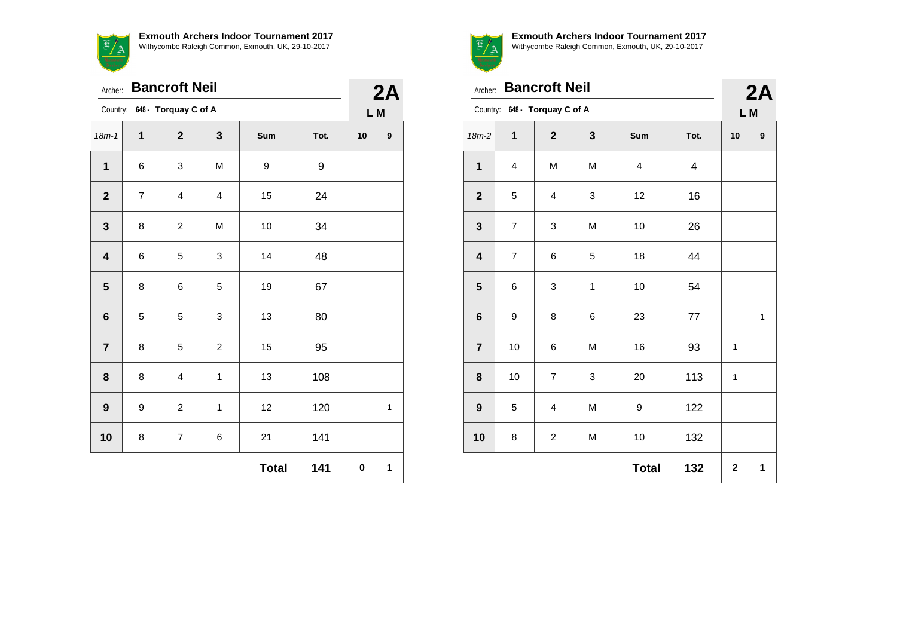

|                         | <b>Bancroft Neil</b><br>Archer:  |                         |                         |              |      |    |                  |  |
|-------------------------|----------------------------------|-------------------------|-------------------------|--------------|------|----|------------------|--|
|                         | 648 - Torquay C of A<br>Country: |                         |                         |              |      |    | L M              |  |
| $18m - 1$               | $\mathbf{1}$                     | $\overline{\mathbf{2}}$ | $\mathbf 3$             | Sum          | Tot. | 10 | $\boldsymbol{9}$ |  |
| $\mathbf 1$             | 6                                | 3                       | M                       | 9            | 9    |    |                  |  |
| $\overline{2}$          | $\overline{7}$                   | $\overline{\mathbf{4}}$ | $\overline{\mathbf{4}}$ | 15           | 24   |    |                  |  |
| $\mathbf 3$             | 8                                | $\overline{c}$          | M                       | 10           | 34   |    |                  |  |
| $\overline{\mathbf{4}}$ | 6                                | 5                       | 3                       | 14           | 48   |    |                  |  |
| 5                       | 8                                | 6                       | 5                       | 19           | 67   |    |                  |  |
| 6                       | 5                                | 5                       | 3                       | 13           | 80   |    |                  |  |
| $\overline{7}$          | 8                                | 5                       | $\overline{c}$          | 15           | 95   |    |                  |  |
| 8                       | 8                                | $\overline{\mathbf{4}}$ | $\mathbf 1$             | 13           | 108  |    |                  |  |
| $\boldsymbol{9}$        | 9                                | $\overline{c}$          | 1                       | 12           | 120  |    | 1                |  |
| 10                      | 8                                | $\overline{7}$          | 6                       | 21           | 141  |    |                  |  |
|                         |                                  |                         |                         | <b>Total</b> | 141  | 0  | 1                |  |



Archer: **Bancroft Neil**

|  |  | _________ |
|--|--|-----------|
|  |  |           |
|  |  |           |
|  |  |           |
|  |  |           |

| <b>Bancroft Neil</b><br>Archer: |                                  |                         |   |                         |      |    | 2A           |  |
|---------------------------------|----------------------------------|-------------------------|---|-------------------------|------|----|--------------|--|
|                                 | 648 - Torquay C of A<br>Country: |                         |   |                         |      |    | L M          |  |
| $18m-2$                         | 1                                | $\overline{\mathbf{2}}$ | 3 | Sum                     | Tot. | 10 | 9            |  |
| $\mathbf{1}$                    | 4                                | M                       | M | $\overline{\mathbf{4}}$ | 4    |    |              |  |
| $\mathbf 2$                     | 5                                | 4                       | 3 | 12                      | 16   |    |              |  |
| $\mathbf{3}$                    | $\overline{\mathcal{I}}$         | 3                       | M | 10                      | 26   |    |              |  |
| $\overline{\mathbf{4}}$         | $\overline{7}$                   | $\,6$                   | 5 | 18                      | 44   |    |              |  |
| $\overline{\mathbf{5}}$         | 6                                | 3                       | 1 | 10                      | 54   |    |              |  |
| $\bf 6$                         | 9                                | 8                       | 6 | 23                      | 77   |    | $\mathbf{1}$ |  |
| $\overline{7}$                  | 10                               | 6                       | M | 16                      | 93   | 1  |              |  |
| 8                               | 10                               | $\overline{\mathbf{7}}$ | 3 | 20                      | 113  | 1  |              |  |
| $\boldsymbol{9}$                | 5                                | $\overline{\mathbf{4}}$ | M | 9                       | 122  |    |              |  |
| 10                              | 8                                | $\overline{c}$          | M | 10                      | 132  |    |              |  |
|                                 |                                  |                         |   | <b>Total</b>            | 132  | 2  | 1            |  |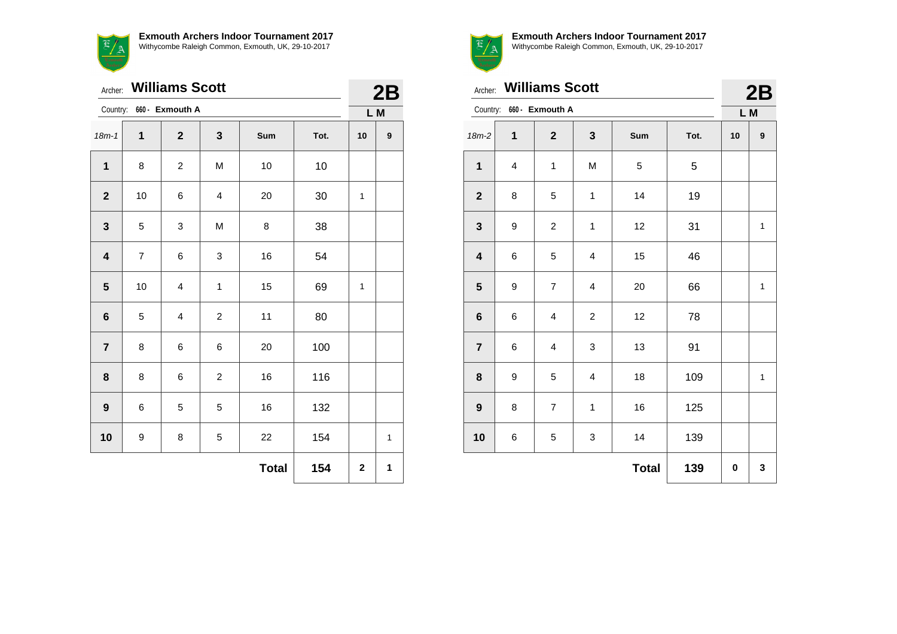

| Archer:                 |                | <b>Williams Scott</b>   |                         |              |      |              | 2B               |
|-------------------------|----------------|-------------------------|-------------------------|--------------|------|--------------|------------------|
| Country:                |                | 660 - Exmouth A         |                         |              |      |              | L M              |
| $18m - 1$               | $\mathbf{1}$   | $\mathbf{2}$            | 3                       | Sum          | Tot. | 10           | $\boldsymbol{9}$ |
| $\mathbf{1}$            | 8              | $\overline{c}$          | M                       | 10           | 10   |              |                  |
| $\mathbf{2}$            | 10             | 6                       | 4                       | 20           | 30   | $\mathbf{1}$ |                  |
| $\mathbf{3}$            | 5              | 3                       | M                       | 8            | 38   |              |                  |
| $\overline{\mathbf{4}}$ | $\overline{7}$ | 6                       | 3                       | 16           | 54   |              |                  |
| $\overline{\mathbf{5}}$ | 10             | $\overline{\mathbf{4}}$ | 1                       | 15           | 69   | 1            |                  |
| $6\phantom{a}$          | 5              | $\overline{\mathbf{4}}$ | $\overline{\mathbf{c}}$ | 11           | 80   |              |                  |
| $\overline{7}$          | 8              | 6                       | 6                       | 20           | 100  |              |                  |
| 8                       | 8              | 6                       | $\overline{c}$          | 16           | 116  |              |                  |
| 9                       | 6              | 5                       | 5                       | 16           | 132  |              |                  |
| 10                      | 9              | 8                       | 5                       | 22           | 154  |              | 1                |
|                         |                |                         |                         | <b>Total</b> | 154  | $\mathbf 2$  | 1                |



|                         |                | Archer: Williams Scott   |                         |              |      |          | 2B               |  |
|-------------------------|----------------|--------------------------|-------------------------|--------------|------|----------|------------------|--|
|                         |                | Country: 660 - Exmouth A |                         |              |      | L M      |                  |  |
| $18m-2$                 | 1              | $\mathbf{2}$             | 3                       | Sum          | Tot. | 10       | $\boldsymbol{9}$ |  |
| $\mathbf{1}$            | $\overline{4}$ | 1                        | M                       | 5            | 5    |          |                  |  |
| $\mathbf{2}$            | 8              | 5                        | $\mathbf{1}$            | 14           | 19   |          |                  |  |
| $\mathbf{3}$            | 9              | $\overline{c}$           | 1                       | 12           | 31   |          | $\mathbf{1}$     |  |
| $\overline{\mathbf{4}}$ | 6              | 5                        | 4                       | 15           | 46   |          |                  |  |
| 5                       | 9              | $\overline{7}$           | $\overline{\mathbf{4}}$ | 20           | 66   |          | $\mathbf 1$      |  |
| $6\phantom{1}$          | 6              | $\overline{\mathbf{4}}$  | $\overline{c}$          | 12           | 78   |          |                  |  |
| $\overline{7}$          | 6              | $\overline{\mathbf{4}}$  | 3                       | 13           | 91   |          |                  |  |
| 8                       | 9              | 5                        | 4                       | 18           | 109  |          | $\mathbf{1}$     |  |
| 9                       | 8              | $\overline{7}$           | 1                       | 16           | 125  |          |                  |  |
| 10                      | 6              | 5                        | 3                       | 14           | 139  |          |                  |  |
|                         |                |                          |                         | <b>Total</b> | 139  | $\bf{0}$ | 3                |  |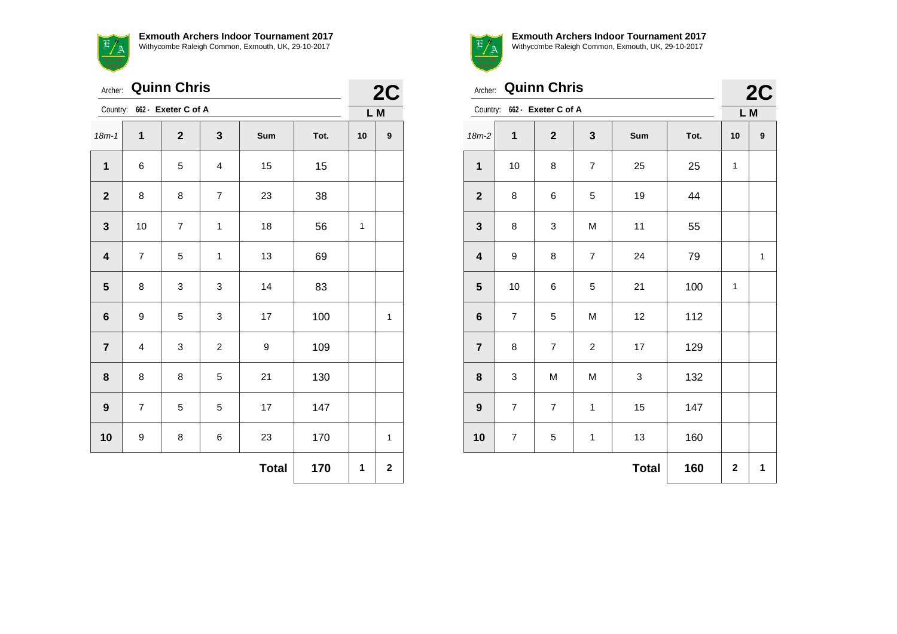| <b>Quinn Chris</b><br>Archer: |                |                              |                |              |      |    | 2C          |  |
|-------------------------------|----------------|------------------------------|----------------|--------------|------|----|-------------|--|
|                               |                | Country: 662 - Exeter C of A |                |              |      |    | L M         |  |
| $18m - 1$                     | $\mathbf{1}$   | $\mathbf{2}$                 | 3              | Sum          | Tot. | 10 | 9           |  |
| $\mathbf{1}$                  | 6              | 5                            | 4              | 15           | 15   |    |             |  |
| $\overline{\mathbf{2}}$       | 8              | 8                            | $\overline{7}$ | 23           | 38   |    |             |  |
| $\mathbf{3}$                  | 10             | $\overline{7}$               | $\mathbf 1$    | 18           | 56   | 1  |             |  |
| $\overline{\mathbf{4}}$       | $\overline{7}$ | 5                            | 1              | 13           | 69   |    |             |  |
| 5                             | 8              | 3                            | 3              | 14           | 83   |    |             |  |
| $6\phantom{1}6$               | 9              | 5                            | 3              | $17\,$       | 100  |    | 1           |  |
| $\overline{7}$                | 4              | 3                            | $\overline{c}$ | 9            | 109  |    |             |  |
| 8                             | 8              | 8                            | 5              | 21           | 130  |    |             |  |
| 9                             | $\overline{7}$ | 5                            | 5              | 17           | 147  |    |             |  |
| 10                            | 9              | 8                            | 6              | 23           | 170  |    | 1           |  |
|                               |                |                              |                | <b>Total</b> | 170  | 1  | $\mathbf 2$ |  |



**Exmouth Archers Indoor Tournament 2017** Withycombe Raleigh Common, Exmouth, UK, 29-10-2017

 $\Omega$ 

| <b>Quinn Chris</b><br>Archer: |                                 |                |                |              |      |             | 2C               |
|-------------------------------|---------------------------------|----------------|----------------|--------------|------|-------------|------------------|
|                               | Country:<br>662 - Exeter C of A |                |                |              |      |             | L M              |
| $18m-2$                       | $\mathbf{1}$                    | $\mathbf{2}$   | $\mathbf{3}$   | Sum          | Tot. | 10          | $\boldsymbol{9}$ |
| 1                             | 10                              | 8              | $\overline{7}$ | 25           | 25   | 1           |                  |
| $\mathbf{2}$                  | 8                               | 6              | 5              | 19           | 44   |             |                  |
| $\mathbf{3}$                  | 8                               | 3              | M              | 11           | 55   |             |                  |
| $\overline{\mathbf{4}}$       | 9                               | 8              | $\overline{7}$ | 24           | 79   |             | $\mathbf{1}$     |
| $5\phantom{1}$                | 10                              | 6              | 5              | 21           | 100  | 1           |                  |
| $\bf 6$                       | $\overline{7}$                  | 5              | M              | 12           | 112  |             |                  |
| $\overline{7}$                | 8                               | $\overline{7}$ | $\overline{c}$ | 17           | 129  |             |                  |
| 8                             | 3                               | M              | M              | 3            | 132  |             |                  |
| $\boldsymbol{9}$              | $\overline{7}$                  | $\overline{7}$ | $\mathbf{1}$   | 15           | 147  |             |                  |
| 10                            | $\overline{7}$                  | 5              | 1              | 13           | 160  |             |                  |
|                               |                                 |                |                | <b>Total</b> | 160  | $\mathbf 2$ | 1                |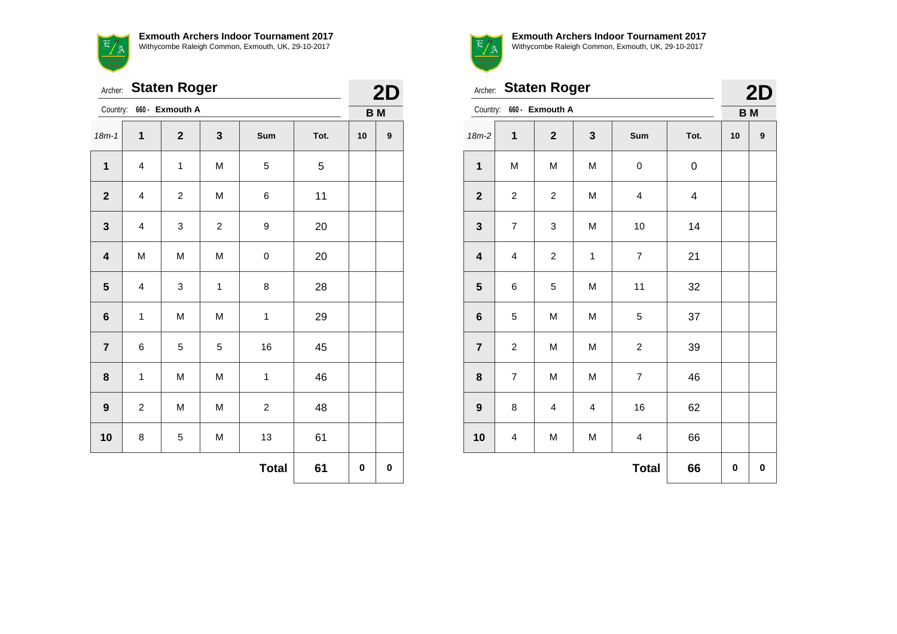

|                         | <b>Staten Roger</b><br>Archer:<br>Country:<br>660 - Exmouth A<br>1<br>$\mathbf{2}$<br>$\mathbf{3}$<br>Sum<br>Tot.<br>M<br>$\mathbf{1}$<br>5<br>$\mathbf{1}$<br>4<br>5<br>$\boldsymbol{2}$<br>11<br>$\boldsymbol{2}$<br>M<br>4<br>6 |             |                |                |    |    |           |  |
|-------------------------|------------------------------------------------------------------------------------------------------------------------------------------------------------------------------------------------------------------------------------|-------------|----------------|----------------|----|----|-----------|--|
|                         |                                                                                                                                                                                                                                    |             |                |                |    |    | <b>BM</b> |  |
| $18m - 1$               |                                                                                                                                                                                                                                    |             |                |                |    | 10 | 9         |  |
|                         |                                                                                                                                                                                                                                    |             |                |                |    |    |           |  |
|                         |                                                                                                                                                                                                                                    |             |                |                |    |    |           |  |
| $\mathbf 3$             | 4                                                                                                                                                                                                                                  | 3           | $\overline{c}$ | 9              | 20 |    |           |  |
| $\overline{\mathbf{4}}$ | M                                                                                                                                                                                                                                  | M           | M              | $\mathbf 0$    | 20 |    |           |  |
| $\overline{\mathbf{5}}$ | 4                                                                                                                                                                                                                                  | 3           | $\mathbf 1$    | 8              | 28 |    |           |  |
| $\bf 6$                 | 1                                                                                                                                                                                                                                  | M           | M              | $\mathbf 1$    | 29 |    |           |  |
| $\overline{\mathbf{7}}$ | 6                                                                                                                                                                                                                                  | $\mathbf 5$ | 5              | 16             | 45 |    |           |  |
| 8                       | 1                                                                                                                                                                                                                                  | M           | M              | $\mathbf 1$    | 46 |    |           |  |
| $\boldsymbol{9}$        | $\overline{\mathbf{c}}$                                                                                                                                                                                                            | M           | M              | $\overline{c}$ | 48 |    |           |  |
| 10                      | 8                                                                                                                                                                                                                                  | 5           | M              | 13             | 61 |    |           |  |
|                         |                                                                                                                                                                                                                                    |             |                | <b>Total</b>   | 61 | 0  | 0         |  |



| 2D |
|----|

|                         | Archer: Staten Roger        |                         |                         |                          |                         |    |   |
|-------------------------|-----------------------------|-------------------------|-------------------------|--------------------------|-------------------------|----|---|
|                         | 660 - Exmouth A<br>Country: |                         |                         |                          |                         |    |   |
| $18m-2$                 | $\mathbf 1$                 | $\mathbf{2}$            | $\mathbf 3$             | Sum                      | Tot.                    | 10 | 9 |
| $\mathbf{1}$            | M                           | M                       | M                       | 0                        | 0                       |    |   |
| $\mathbf 2$             | $\overline{\mathbf{c}}$     | $\overline{c}$          | M                       | 4                        | $\overline{\mathbf{4}}$ |    |   |
| $\mathbf{3}$            | $\overline{\mathcal{I}}$    | 3                       | M                       | 10                       | 14                      |    |   |
| $\overline{\mathbf{4}}$ | $\overline{\mathbf{4}}$     | $\boldsymbol{2}$        | $\mathbf{1}$            | $\overline{\mathcal{I}}$ | 21                      |    |   |
| $\overline{\mathbf{5}}$ | 6                           | 5                       | M                       | 11                       | 32                      |    |   |
| 6                       | 5                           | M                       | M                       | 5                        | 37                      |    |   |
| $\overline{7}$          | $\boldsymbol{2}$            | M                       | M                       | $\overline{\mathbf{c}}$  | 39                      |    |   |
| 8                       | $\overline{\mathcal{I}}$    | M                       | M                       | $\overline{\mathcal{I}}$ | 46                      |    |   |
| $\boldsymbol{9}$        | 8                           | $\overline{\mathbf{4}}$ | $\overline{\mathbf{4}}$ | 16                       | 62                      |    |   |
| 10                      | $\overline{\mathbf{4}}$     | M                       | M                       | $\overline{\mathbf{4}}$  | 66                      |    |   |
|                         |                             |                         |                         | <b>Total</b>             | 66                      | 0  | 0 |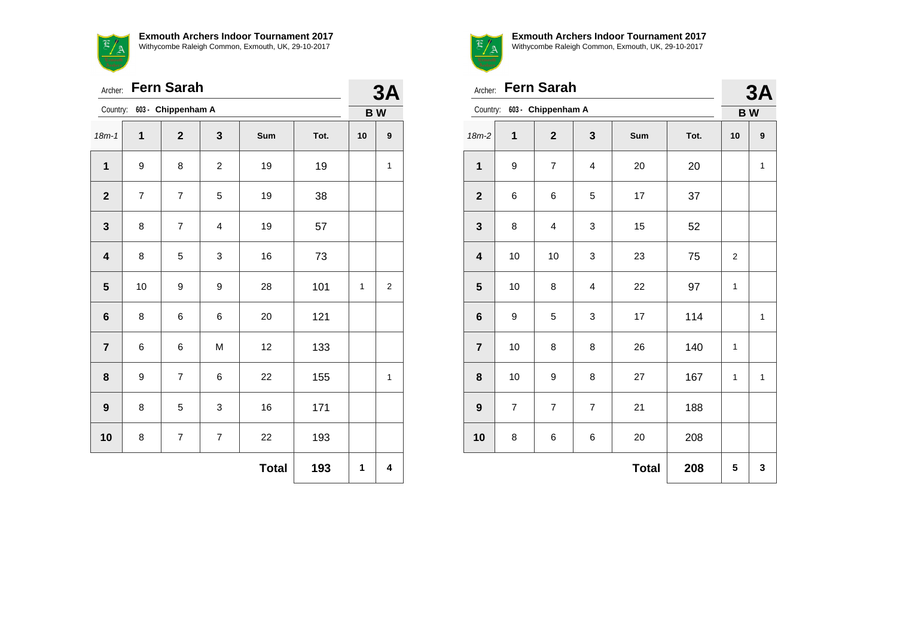**Exmouth Archers Indoor Tournament 2017** with the Common, Exmouth, UK, 29-10-2017

|           | Withycombe Raleig         |
|-----------|---------------------------|
| Archer:   | <b>Fern Sarah</b>         |
|           | Country: 603 - Chippenhan |
| $18m - 1$ |                           |

|                         | Fern Sarah<br>Archer:    |                             |                |              |      |    | 3A                      |  |
|-------------------------|--------------------------|-----------------------------|----------------|--------------|------|----|-------------------------|--|
|                         |                          | Country: 603 - Chippenham A |                |              |      |    | <b>BW</b>               |  |
| $18m - 1$               | $\mathbf 1$              | $\overline{2}$              | 3              | Sum          | Tot. | 10 | 9                       |  |
| $\mathbf{1}$            | 9                        | 8                           | $\overline{c}$ | 19           | 19   |    | $\mathbf 1$             |  |
| $\mathbf{2}$            | $\overline{\mathcal{I}}$ | $\overline{7}$              | 5              | 19           | 38   |    |                         |  |
| $\mathbf 3$             | 8                        | $\overline{7}$              | 4              | 19           | 57   |    |                         |  |
| $\overline{\mathbf{4}}$ | 8                        | 5                           | 3              | 16           | 73   |    |                         |  |
| ${\bf 5}$               | 10                       | 9                           | 9              | 28           | 101  | 1  | $\overline{\mathbf{c}}$ |  |
| $\bf 6$                 | 8                        | 6                           | 6              | 20           | 121  |    |                         |  |
| $\overline{7}$          | 6                        | 6                           | M              | 12           | 133  |    |                         |  |
| 8                       | 9                        | 7                           | 6              | 22           | 155  |    | 1                       |  |
| $\boldsymbol{9}$        | 8                        | 5                           | 3              | 16           | 171  |    |                         |  |
| 10                      | 8                        | $\overline{7}$              | $\overline{7}$ | 22           | 193  |    |                         |  |
|                         |                          |                             |                | <b>Total</b> | 193  | 1  | 4                       |  |



**Exmouth Archers Indoor Tournament 2017** Withycombe Raleigh Common, Exmouth, UK, 29-10-2017

|                         | <b>Fern Sarah</b><br>Archer: |                    |                |     |      |                 |   |  |  |
|-------------------------|------------------------------|--------------------|----------------|-----|------|-----------------|---|--|--|
| Country:                |                              | 603 - Chippenham A |                |     |      | 3A<br><b>BW</b> |   |  |  |
| $18m-2$                 | 1                            | $\mathbf{2}$       | 3              | Sum | Tot. | 10              | 9 |  |  |
| 1                       | 9                            | 7                  | $\overline{4}$ | 20  | 20   |                 | 1 |  |  |
| $\mathbf{2}$            | 6                            | 6                  | 5              | 17  | 37   |                 |   |  |  |
| $\mathbf 3$             | 8                            | $\overline{4}$     | 3              | 15  | 52   |                 |   |  |  |
| $\overline{\mathbf{4}}$ | 10                           | 10                 | 3              | 23  | 75   | 2               |   |  |  |
| 5                       | 10                           | 8                  | $\overline{4}$ | 22  | 97   | 1               |   |  |  |
| $\bf 6$                 | 9                            | 5                  | 3              | 17  | 114  |                 | 1 |  |  |
| $\overline{7}$          | 10                           | 8                  | 8              | 26  | 140  | 1               |   |  |  |
| 8                       | 10                           | 9                  | 8              | 27  | 167  | 1               | 1 |  |  |
| $\boldsymbol{9}$        | $\overline{7}$               | $\overline{7}$     | $\overline{7}$ | 21  | 188  |                 |   |  |  |

**Total 208 5 3**

**10** 8 6 6 6 20 208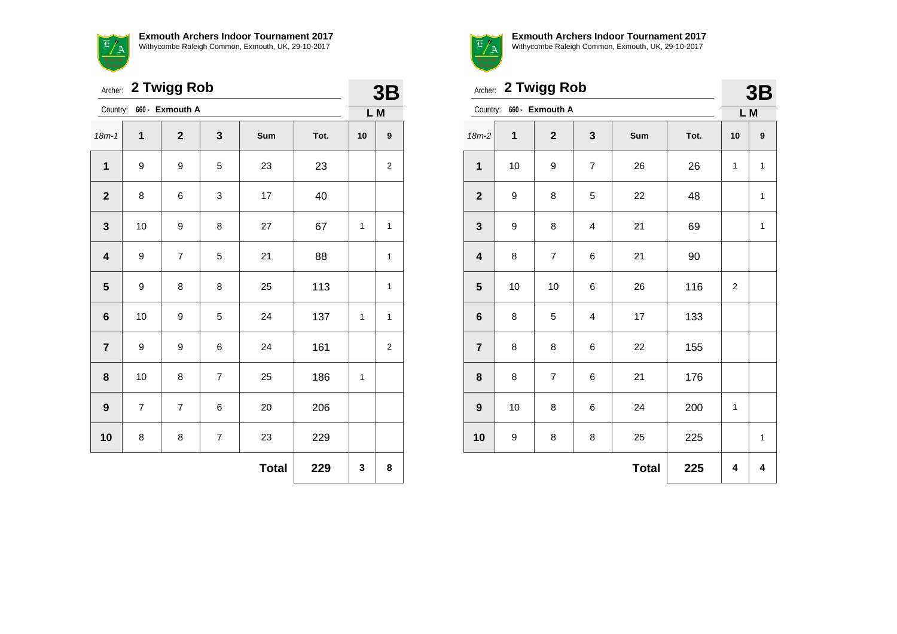

|                         | 2 Twigg Rob<br>Archer: |                 |                         |              |      |     |                         |  |
|-------------------------|------------------------|-----------------|-------------------------|--------------|------|-----|-------------------------|--|
| Country:                |                        | 660 - Exmouth A |                         |              |      | L M |                         |  |
| $18m - 1$               | 1                      | $\mathbf{2}$    | 3                       | Sum          | Tot. | 10  | $\boldsymbol{9}$        |  |
| $\mathbf{1}$            | 9                      | 9               | 5                       | 23           | 23   |     | $\overline{\mathbf{c}}$ |  |
| $\boldsymbol{2}$        | 8                      | 6               | 3                       | 17           | 40   |     |                         |  |
| $\mathbf{3}$            | 10                     | 9               | 8                       | 27           | 67   | 1   | 1                       |  |
| $\overline{\mathbf{4}}$ | 9                      | $\overline{7}$  | 5                       | 21           | 88   |     | $\mathbf{1}$            |  |
| $\overline{\mathbf{5}}$ | 9                      | 8               | 8                       | 25           | 113  |     | $\mathbf{1}$            |  |
| $6\phantom{a}$          | 10                     | 9               | 5                       | 24           | 137  | 1   | 1                       |  |
| $\overline{7}$          | 9                      | 9               | 6                       | 24           | 161  |     | $\overline{\mathbf{c}}$ |  |
| $\bf 8$                 | 10                     | 8               | $\overline{\mathbf{7}}$ | 25           | 186  | 1   |                         |  |
| $\boldsymbol{9}$        | $\overline{7}$         | $\overline{7}$  | 6                       | 20           | 206  |     |                         |  |
| 10                      | 8                      | 8               | $\overline{\mathbf{7}}$ | 23           | 229  |     |                         |  |
|                         |                        |                 |                         | <b>Total</b> | 229  | 3   | 8                       |  |



|                         | Archer: 2 Twigg Rob |                          |                |              |      |                |                  |  |  |
|-------------------------|---------------------|--------------------------|----------------|--------------|------|----------------|------------------|--|--|
|                         |                     | Country: 660 - Exmouth A |                |              |      | L M            |                  |  |  |
| 18m-2                   | 1                   | $\mathbf{2}$             | 3              | Sum          | Tot. | 10             | $\boldsymbol{9}$ |  |  |
| $\mathbf{1}$            | 10                  | 9                        | $\overline{7}$ | 26           | 26   | 1              | $\mathbf{1}$     |  |  |
| $\mathbf{2}$            | 9                   | 8                        | 5              | 22           | 48   |                | $\mathbf{1}$     |  |  |
| 3                       | 9                   | 8                        | 4              | 21           | 69   |                | 1                |  |  |
| $\overline{\mathbf{4}}$ | 8                   | $\overline{7}$           | 6              | 21           | 90   |                |                  |  |  |
| 5                       | 10                  | 10                       | 6              | 26           | 116  | $\overline{2}$ |                  |  |  |
| 6                       | 8                   | 5                        | 4              | 17           | 133  |                |                  |  |  |
| $\overline{\mathbf{7}}$ | 8                   | 8                        | 6              | 22           | 155  |                |                  |  |  |
| 8                       | 8                   | $\overline{7}$           | 6              | 21           | 176  |                |                  |  |  |
| $\boldsymbol{9}$        | 10                  | 8                        | 6              | 24           | 200  | 1              |                  |  |  |
| 10                      | 9                   | 8                        | 8              | 25           | 225  |                | $\mathbf{1}$     |  |  |
|                         |                     |                          |                | <b>Total</b> | 225  | 4              | 4                |  |  |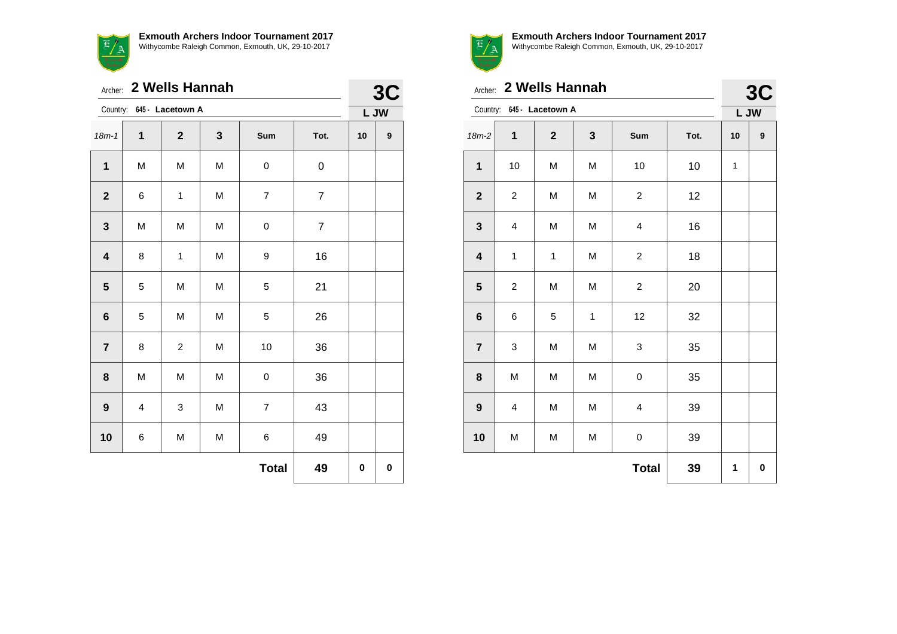|                         | Archer: 2 Wells Hannah |                           |   |                |                |      |   |  |  |
|-------------------------|------------------------|---------------------------|---|----------------|----------------|------|---|--|--|
|                         |                        | Country: 645 - Lacetown A |   |                |                | L JW |   |  |  |
| $18m - 1$               | $\mathbf{1}$           | $\mathbf{2}$              | 3 | Sum            | Tot.           | 10   | 9 |  |  |
| 1                       | M                      | M                         | M | 0              | 0              |      |   |  |  |
| $\mathbf{2}$            | 6                      | 1                         | M | $\overline{7}$ | $\overline{7}$ |      |   |  |  |
| $\mathbf{3}$            | M                      | M                         | M | 0              | $\overline{7}$ |      |   |  |  |
| $\overline{\mathbf{4}}$ | 8                      | $\mathbf{1}$              | M | 9              | 16             |      |   |  |  |
| ${\bf 5}$               | 5                      | M                         | M | 5              | 21             |      |   |  |  |
| $\bf 6$                 | 5                      | M                         | M | 5              | 26             |      |   |  |  |
| $\overline{7}$          | 8                      | $\boldsymbol{2}$          | M | 10             | 36             |      |   |  |  |
| 8                       | M                      | M                         | M | 0              | 36             |      |   |  |  |
| $\boldsymbol{9}$        | 4                      | 3                         | M | $\overline{7}$ | 43             |      |   |  |  |
| 10                      | 6                      | M                         | M | 6              | 49             |      |   |  |  |
|                         |                        |                           |   | <b>Total</b>   | 49             | 0    | 0 |  |  |



|                         | 2 Wells Hannah<br>Archer: |                           |             |                         |      |              |            |  |
|-------------------------|---------------------------|---------------------------|-------------|-------------------------|------|--------------|------------|--|
|                         |                           | Country: 645 - Lacetown A |             |                         |      |              | 3C<br>L JW |  |
| $18m-2$                 | 1                         | $\mathbf{2}$              | 3           | Sum                     | Tot. | 10           | 9          |  |
| $\mathbf{1}$            | 10                        | M                         | M           | 10                      | $10$ | $\mathbf{1}$ |            |  |
| $\boldsymbol{2}$        | $\overline{c}$            | M                         | M           | $\overline{\mathbf{c}}$ | 12   |              |            |  |
| $\mathbf{3}$            | 4                         | M                         | M           | $\overline{\mathbf{4}}$ | 16   |              |            |  |
| $\overline{\mathbf{4}}$ | $\mathbf 1$               | $\mathbf 1$               | M           | $\overline{c}$          | 18   |              |            |  |
| ${\bf 5}$               | $\overline{c}$            | M                         | M           | $\overline{c}$          | 20   |              |            |  |
| $\bf 6$                 | 6                         | 5                         | $\mathbf 1$ | 12                      | 32   |              |            |  |
| $\overline{7}$          | 3                         | M                         | M           | 3                       | 35   |              |            |  |
| 8                       | M                         | M                         | M           | $\boldsymbol{0}$        | 35   |              |            |  |
| $\boldsymbol{9}$        | 4                         | M                         | M           | 4                       | 39   |              |            |  |
| 10                      | M                         | M                         | M           | $\mathbf 0$             | 39   |              |            |  |
|                         |                           |                           |             | <b>Total</b>            | 39   | 1            | $\pmb{0}$  |  |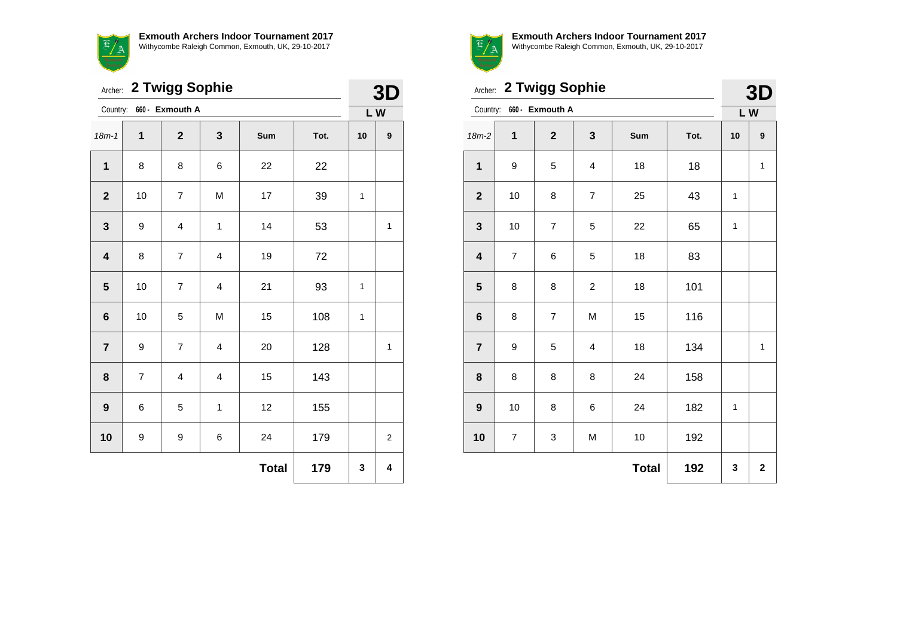

|                         | 2 Twigg Sophie<br>Archer:<br>660 - Exmouth A |                         |                         |              |      |              |                |  |
|-------------------------|----------------------------------------------|-------------------------|-------------------------|--------------|------|--------------|----------------|--|
| Country:                |                                              |                         |                         |              |      | LW           |                |  |
| $18m - 1$               | 1                                            | $\mathbf{2}$            | 3                       | Sum          | Tot. | 10           | 9              |  |
| 1                       | 8                                            | 8                       | 6                       | 22           | 22   |              |                |  |
| $\mathbf{2}$            | 10                                           | $\overline{7}$          | M                       | 17           | 39   | $\mathbf{1}$ |                |  |
| $\mathbf{3}$            | 9                                            | $\overline{\mathbf{4}}$ | $\mathbf 1$             | 14           | 53   |              | $\mathbf{1}$   |  |
| $\overline{\mathbf{4}}$ | 8                                            | $\overline{7}$          | 4                       | 19           | 72   |              |                |  |
| $\overline{\mathbf{5}}$ | 10                                           | $\overline{7}$          | $\overline{\mathbf{4}}$ | 21           | 93   | 1            |                |  |
| $\bf 6$                 | 10                                           | 5                       | M                       | 15           | 108  | $\mathbf{1}$ |                |  |
| $\overline{7}$          | 9                                            | $\overline{7}$          | 4                       | 20           | 128  |              | 1              |  |
| 8                       | $\overline{7}$                               | $\overline{\mathbf{4}}$ | $\overline{\mathbf{4}}$ | 15           | 143  |              |                |  |
| $\boldsymbol{9}$        | 6                                            | 5                       | $\mathbf{1}$            | 12           | 155  |              |                |  |
| 10                      | 9                                            | 9                       | 6                       | 24           | 179  |              | $\overline{2}$ |  |
|                         |                                              |                         |                         | <b>Total</b> | 179  | 3            | 4              |  |



|                         | Archer: 2 Twigg Sophie  |                 |                         |              |      |              |                |  |  |
|-------------------------|-------------------------|-----------------|-------------------------|--------------|------|--------------|----------------|--|--|
| Country:                |                         | 660 - Exmouth A |                         |              |      | LW           |                |  |  |
| $18m-2$                 | 1                       | $\mathbf{2}$    | 3                       | Sum          | Tot. | 10           | 9              |  |  |
| $\mathbf 1$             | 9                       | 5               | $\overline{\mathbf{4}}$ | 18           | 18   |              | $\mathbf{1}$   |  |  |
| $\mathbf{2}$            | 10                      | 8               | $\overline{7}$          | 25           | 43   | 1            |                |  |  |
| $\mathbf{3}$            | 10                      | $\overline{7}$  | 5                       | 22           | 65   | $\mathbf{1}$ |                |  |  |
| $\overline{\mathbf{4}}$ | $\overline{7}$          | 6               | 5                       | 18           | 83   |              |                |  |  |
| $5\phantom{1}$          | 8                       | 8               | $\overline{c}$          | 18           | 101  |              |                |  |  |
| $6\phantom{1}$          | 8                       | $\overline{7}$  | M                       | 15           | 116  |              |                |  |  |
| $\overline{7}$          | 9                       | 5               | 4                       | 18           | 134  |              | $\mathbf{1}$   |  |  |
| 8                       | 8                       | 8               | 8                       | 24           | 158  |              |                |  |  |
| $\boldsymbol{9}$        | 10                      | 8               | 6                       | 24           | 182  | 1            |                |  |  |
| 10                      | $\overline{\mathbf{7}}$ | 3               | M                       | 10           | 192  |              |                |  |  |
|                         |                         |                 |                         | <b>Total</b> | 192  | 3            | $\overline{2}$ |  |  |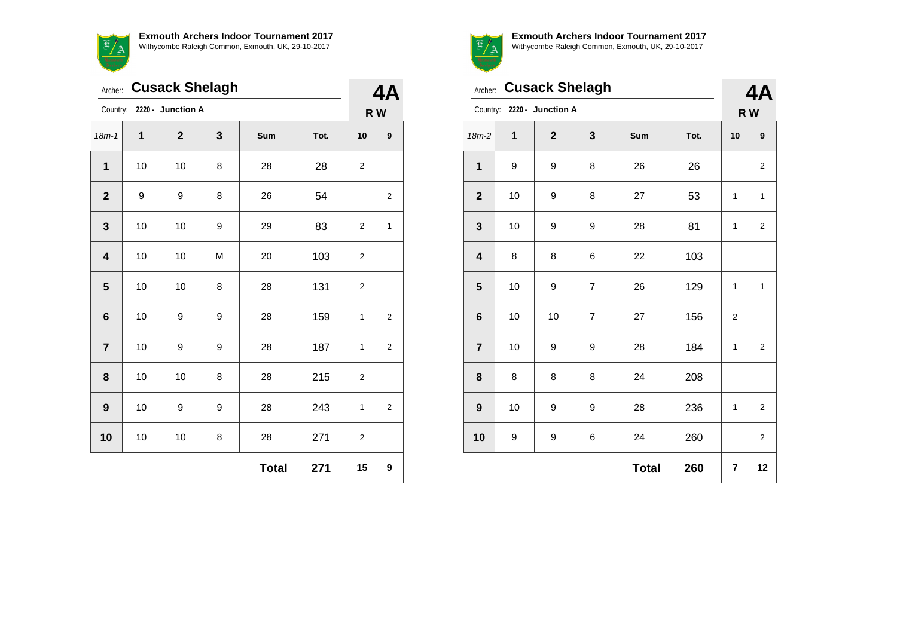

|                         | <b>Cusack Shelagh</b><br>Archer: |                   |   |              |      |                |                         |  |
|-------------------------|----------------------------------|-------------------|---|--------------|------|----------------|-------------------------|--|
| Country:                |                                  | 2220 - Junction A |   |              |      |                | 4A<br>R W               |  |
| $18m - 1$               | 1                                | $\mathbf{2}$      | 3 | <b>Sum</b>   | Tot. | 10             | 9                       |  |
| $\mathbf{1}$            | 10                               | 10                | 8 | 28           | 28   | 2              |                         |  |
| $\overline{\mathbf{2}}$ | 9                                | 9                 | 8 | 26           | 54   |                | $\overline{2}$          |  |
| 3                       | 10                               | 10                | 9 | 29           | 83   | 2              | $\mathbf 1$             |  |
| 4                       | 10                               | 10                | M | 20           | 103  | 2              |                         |  |
| 5                       | 10                               | 10                | 8 | 28           | 131  | 2              |                         |  |
| 6                       | 10                               | 9                 | 9 | 28           | 159  | 1              | $\overline{\mathbf{c}}$ |  |
| $\overline{7}$          | 10                               | 9                 | 9 | 28           | 187  | $\mathbf{1}$   | $\overline{2}$          |  |
| 8                       | 10                               | 10                | 8 | 28           | 215  | 2              |                         |  |
| $\boldsymbol{9}$        | 10                               | 9                 | 9 | 28           | 243  | $\mathbf{1}$   | $\overline{2}$          |  |
| 10                      | 10                               | 10                | 8 | 28           | 271  | $\overline{2}$ |                         |  |
|                         |                                  |                   |   | <b>Total</b> | 271  | 15             | 9                       |  |



Archer: **Cusack Shelagh**

**Exmouth Archers Indoor Tournament 2017** Withycombe Raleigh Common, Exmouth, UK, 29-10-2017

**8** 8 8 8 24 208

**9** | 10 | 9 | 9 | 28 | 236 | 1 | 2

**10** | 9 | 9 | 6 | 24 | 260 | | 2

 $\textbf{Total}$  260  $\textbf{7}$  12

| Country: 2220 - Junction A |    |              |                  |     | R W  |                |                |
|----------------------------|----|--------------|------------------|-----|------|----------------|----------------|
| $18m-2$                    | 1  | $\mathbf{2}$ | $\mathbf{3}$     | Sum | Tot. | 10             | 9              |
| $\mathbf 1$                | 9  | 9            | 8                | 26  | 26   |                | 2              |
| $\mathbf{2}$               | 10 | 9            | 8                | 27  | 53   | 1              | 1              |
| $\mathbf 3$                | 10 | 9            | $\boldsymbol{9}$ | 28  | 81   | 1              | $\overline{2}$ |
| $\overline{\mathbf{4}}$    | 8  | 8            | 6                | 22  | 103  |                |                |
| $\overline{\mathbf{5}}$    | 10 | 9            | $\overline{7}$   | 26  | 129  | 1              | 1              |
| $\bf 6$                    | 10 | 10           | $\overline{7}$   | 27  | 156  | $\overline{2}$ |                |
| $\overline{7}$             | 10 | 9            | 9                | 28  | 184  | 1              | $\overline{c}$ |

**4A**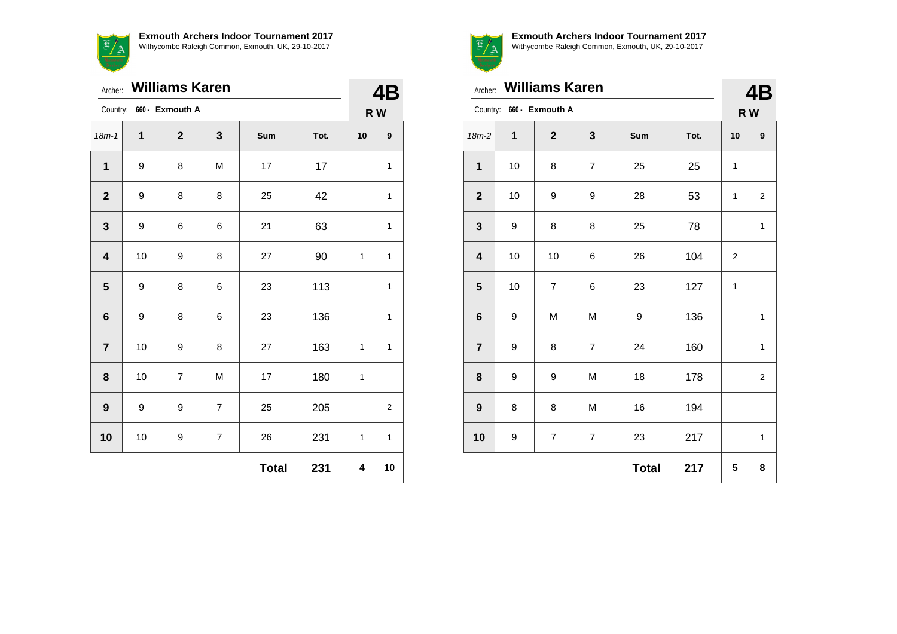

|                         | <b>Williams Karen</b><br>Archer: |                 |                |              |      |              |              |  |
|-------------------------|----------------------------------|-----------------|----------------|--------------|------|--------------|--------------|--|
| Country:                |                                  | 660 - Exmouth A |                |              |      | R W          |              |  |
| $18m - 1$               | 1                                | $\overline{2}$  | 3              | Sum          | Tot. | 10           | 9            |  |
| 1                       | 9                                | 8               | M              | 17           | 17   |              | 1            |  |
| $\mathbf{2}$            | 9                                | 8               | 8              | 25           | 42   |              | 1            |  |
| $\mathbf 3$             | 9                                | 6               | 6              | 21           | 63   |              | 1            |  |
| $\overline{\mathbf{4}}$ | 10                               | 9               | 8              | 27           | 90   | 1            | $\mathbf{1}$ |  |
| $\overline{\mathbf{5}}$ | 9                                | 8               | 6              | 23           | 113  |              | $\mathbf{1}$ |  |
| $\bf 6$                 | 9                                | 8               | 6              | 23           | 136  |              | 1            |  |
| $\overline{7}$          | 10                               | 9               | 8              | 27           | 163  | 1            | $\mathbf{1}$ |  |
| 8                       | 10                               | $\overline{7}$  | M              | 17           | 180  | $\mathbf{1}$ |              |  |
| $\boldsymbol{9}$        | 9                                | 9               | $\overline{7}$ | 25           | 205  |              | 2            |  |
| 10                      | 10                               | 9               | $\overline{7}$ | 26           | 231  | 1            | $\mathbf{1}$ |  |
|                         |                                  |                 |                | <b>Total</b> | 231  | 4            | 10           |  |



|                         | Archer: Williams Karen |                 |                |              |      |     |                |  |
|-------------------------|------------------------|-----------------|----------------|--------------|------|-----|----------------|--|
| Country:                |                        | 660 - Exmouth A |                |              |      | R W |                |  |
| $18m-2$                 | 1                      | $\mathbf{2}$    | 3              | Sum          | Tot. | 10  | 9              |  |
| $\mathbf 1$             | 10                     | 8               | 7              | 25           | 25   | 1   |                |  |
| $\mathbf{2}$            | 10                     | 9               | 9              | 28           | 53   | 1   | 2              |  |
| 3                       | 9                      | 8               | 8              | 25           | 78   |     | $\mathbf{1}$   |  |
| $\overline{\mathbf{4}}$ | 10                     | 10              | 6              | 26           | 104  | 2   |                |  |
| 5                       | 10                     | $\overline{7}$  | 6              | 23           | 127  | 1   |                |  |
| $6\phantom{1}$          | 9                      | M               | M              | 9            | 136  |     | 1              |  |
| $\overline{7}$          | 9                      | 8               | $\overline{7}$ | 24           | 160  |     | 1              |  |
| 8                       | 9                      | 9               | M              | 18           | 178  |     | $\overline{2}$ |  |
| $\boldsymbol{9}$        | 8                      | 8               | M              | 16           | 194  |     |                |  |
| 10                      | 9                      | 7               | $\overline{7}$ | 23           | 217  |     | 1              |  |
|                         |                        |                 |                | <b>Total</b> | 217  | 5   | 8              |  |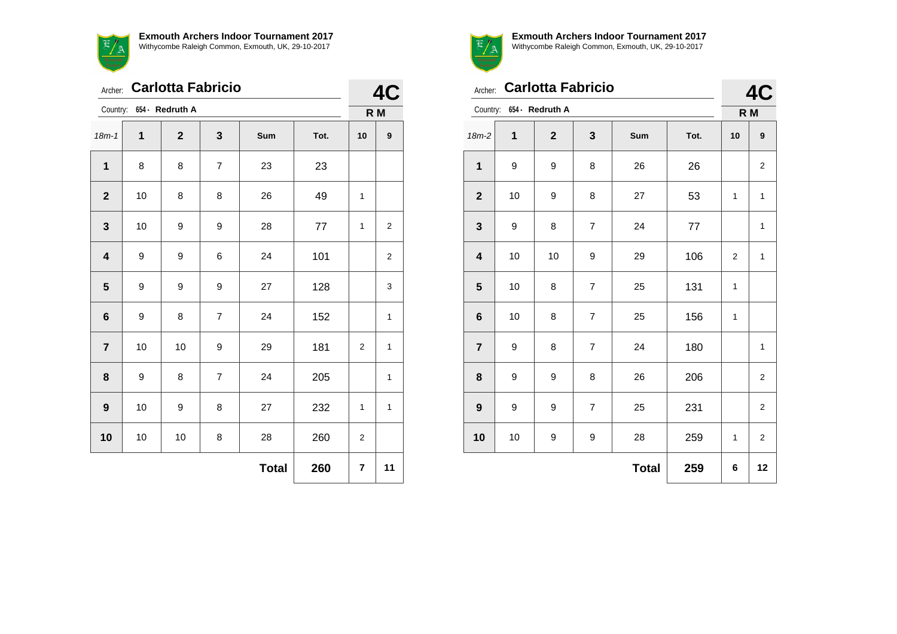| Exmouth<br>Archery      |    |                          |                |     |      |              |                |  |
|-------------------------|----|--------------------------|----------------|-----|------|--------------|----------------|--|
| Archer:                 |    | <b>Carlotta Fabricio</b> |                |     |      | 40           |                |  |
| Country:                |    | 654 - Redruth A          |                |     |      |              | R M            |  |
| $18m - 1$               | 1  | $\mathbf{2}$             | 3              | Sum | Tot. | 10           | 9              |  |
| $\mathbf{1}$            | 8  | 8                        | 7              | 23  | 23   |              |                |  |
| $\overline{2}$          | 10 | 8                        | 8              | 26  | 49   | 1            |                |  |
| 3                       | 10 | 9                        | 9              | 28  | 77   | $\mathbf{1}$ | $\overline{c}$ |  |
| $\overline{\mathbf{4}}$ | 9  | 9                        | 6              | 24  | 101  |              | $\overline{c}$ |  |
| 5                       | 9  | 9                        | 9              | 27  | 128  |              | 3              |  |
| 6                       | 9  | 8                        | $\overline{7}$ | 24  | 152  |              | 1              |  |
| $\overline{7}$          | 10 | 10                       | 9              | 29  | 181  | 2            | 1              |  |
| 8                       | 9  | 8                        | $\overline{7}$ | 24  | 205  |              | 1              |  |
| 9                       | 10 | 9                        | 8              | 27  | 232  | 1            | 1              |  |

**10** | 10 | 10 | 8 | 28 | 260 | 2

**Total 260 7 11**



**4C**

|                  | <b>Carlotta Fabricio</b><br>Archer: |                 |                |              |      |     |                         |
|------------------|-------------------------------------|-----------------|----------------|--------------|------|-----|-------------------------|
| Country:         |                                     | 654 - Redruth A |                |              |      | R M |                         |
| $18m-2$          | 1                                   | $\mathbf{2}$    | 3              | Sum          | Tot. | 10  | 9                       |
| 1                | 9                                   | 9               | 8              | 26           | 26   |     | $\overline{c}$          |
| $\mathbf{2}$     | 10                                  | 9               | 8              | 27           | 53   | 1   | $\mathbf{1}$            |
| 3                | 9                                   | 8               | $\overline{7}$ | 24           | 77   |     | $\mathbf{1}$            |
| 4                | 10                                  | 10              | 9              | 29           | 106  | 2   | $\mathbf{1}$            |
| 5                | 10                                  | 8               | $\overline{7}$ | 25           | 131  | 1   |                         |
| $\bf 6$          | 10                                  | 8               | $\overline{7}$ | 25           | 156  | 1   |                         |
| $\overline{7}$   | 9                                   | 8               | $\overline{7}$ | 24           | 180  |     | $\mathbf 1$             |
| 8                | 9                                   | 9               | 8              | 26           | 206  |     | $\overline{\mathbf{c}}$ |
| $\boldsymbol{9}$ | 9                                   | 9               | $\overline{7}$ | 25           | 231  |     | $\overline{2}$          |
| 10               | 10                                  | 9               | 9              | 28           | 259  | 1   | $\overline{\mathbf{c}}$ |
|                  |                                     |                 |                | <b>Total</b> | 259  | 6   | 12                      |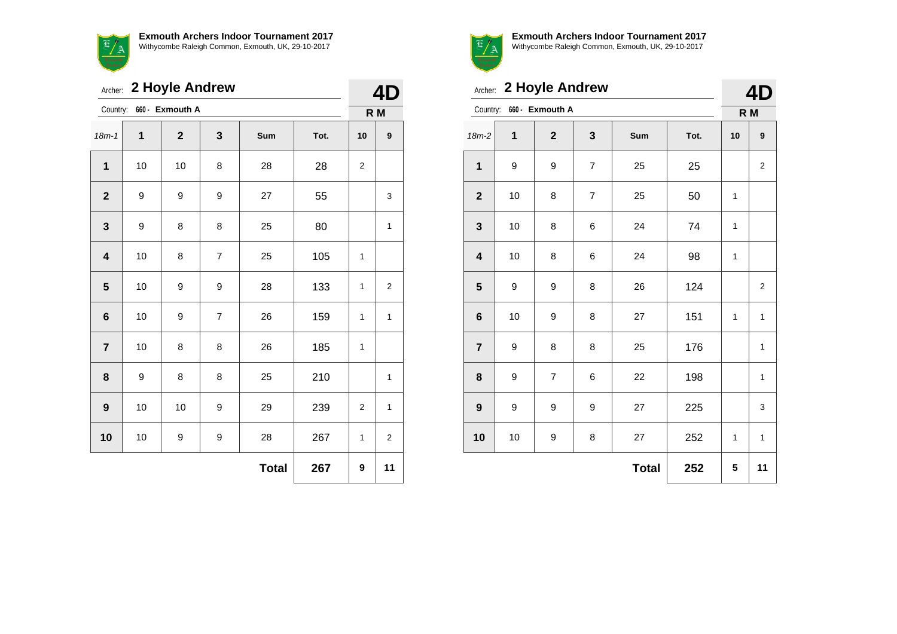

|                         | Archer: 2 Hoyle Andrew |                          |                |              |      |                |                         |  |
|-------------------------|------------------------|--------------------------|----------------|--------------|------|----------------|-------------------------|--|
|                         |                        | Country: 660 - Exmouth A |                |              |      | R M            |                         |  |
| $18m - 1$               | 1                      | $\mathbf{2}$             | 3              | Sum          | Tot. | 10             | 9                       |  |
| $\mathbf{1}$            | 10                     | 10                       | 8              | 28           | 28   | $\overline{c}$ |                         |  |
| $\boldsymbol{2}$        | 9                      | 9                        | 9              | 27           | 55   |                | 3                       |  |
| 3                       | 9                      | 8                        | 8              | 25           | 80   |                | 1                       |  |
| $\overline{\mathbf{4}}$ | 10                     | 8                        | $\overline{7}$ | 25           | 105  | 1              |                         |  |
| 5                       | 10                     | 9                        | 9              | 28           | 133  | 1              | $\overline{\mathbf{c}}$ |  |
| $\bf 6$                 | 10                     | 9                        | $\overline{7}$ | 26           | 159  | 1              | 1                       |  |
| $\overline{7}$          | 10                     | 8                        | 8              | 26           | 185  | 1              |                         |  |
| 8                       | 9                      | 8                        | 8              | 25           | 210  |                | 1                       |  |
| $\boldsymbol{9}$        | 10                     | 10                       | 9              | 29           | 239  | $\overline{c}$ | 1                       |  |
| 10                      | 10                     | 9                        | 9              | 28           | 267  | 1              | $\overline{\mathbf{c}}$ |  |
|                         |                        |                          |                | <b>Total</b> | 267  | 9              | 11                      |  |



|  |  | $\blacksquare$ |
|--|--|----------------|
|  |  |                |
|  |  |                |
|  |  |                |
|  |  |                |
|  |  |                |

|                         | Archer: 2 Hoyle Andrew |                 |                |              |      |              |                         |  |
|-------------------------|------------------------|-----------------|----------------|--------------|------|--------------|-------------------------|--|
| Country:                |                        | 660 - Exmouth A |                |              |      | R M          |                         |  |
| $18m-2$                 | 1                      | $\overline{2}$  | 3              | Sum          | Tot. | 10           | 9                       |  |
| $\mathbf{1}$            | 9                      | 9               | $\overline{7}$ | 25           | 25   |              | $\overline{\mathbf{c}}$ |  |
| $\overline{\mathbf{2}}$ | 10                     | 8               | $\overline{7}$ | 25           | 50   | $\mathbf{1}$ |                         |  |
| $\mathbf 3$             | 10                     | 8               | 6              | 24           | 74   | 1            |                         |  |
| $\overline{\mathbf{4}}$ | 10                     | 8               | 6              | 24           | 98   | 1            |                         |  |
| 5                       | 9                      | 9               | 8              | 26           | 124  |              | $\overline{2}$          |  |
| $6\phantom{1}6$         | 10                     | 9               | 8              | 27           | 151  | $\mathbf{1}$ | $\mathbf{1}$            |  |
| $\overline{7}$          | 9                      | 8               | 8              | 25           | 176  |              | $\mathbf{1}$            |  |
| 8                       | 9                      | $\overline{7}$  | 6              | 22           | 198  |              | 1                       |  |
| $\boldsymbol{9}$        | 9                      | 9               | 9              | 27           | 225  |              | 3                       |  |
| 10                      | 10                     | 9               | 8              | 27           | 252  | 1            | $\mathbf{1}$            |  |
|                         |                        |                 |                | <b>Total</b> | 252  | 5            | 11                      |  |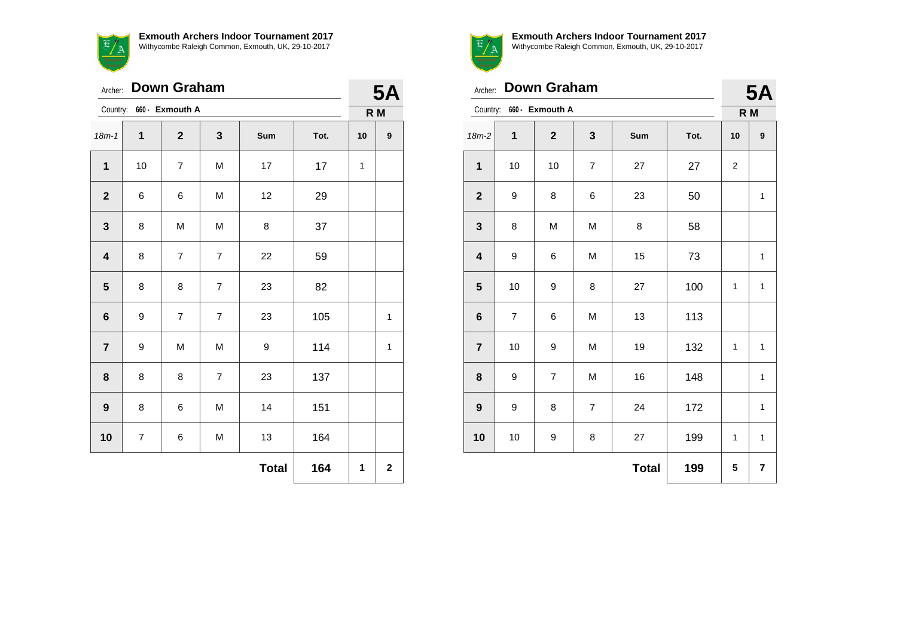

Archer: **Down Graham** Country: **660 - Exmouth A 5A R M** 18m-1 **1 2 3 Sum Tot. 10 9** | 10 | 7 | M | 17 | 17 | 1 | 6 | 6 | M | 12 | 29 | 8 | M | M | 8 | 37 | 8 | 7 | 7 | 22 | 59 8 8 8 7 23 82 | 9 | 7 | 7 | 23 | 105 | | 1 | 9 | M | M | 9 | 114 | | 1 | 8 | 8 | 7 | 23 | 137 | 8 | 6 | M | 14 | 151 | 7 | 6 | M | 13 | 164  $\text{Total}$  164  $1$  2



**Exmouth Archers Indoor Tournament 2017**

Withycombe Raleigh Common, Exmouth, UK, 29-10-2017

|                         | <b>Down Graham</b><br>Archer: |                 |                |              |      |                  |              |
|-------------------------|-------------------------------|-----------------|----------------|--------------|------|------------------|--------------|
| Country:                |                               | 660 - Exmouth A |                |              |      | R M              |              |
| 18m-2                   | 1                             | $\overline{2}$  | 3              | Sum          | Tot. | 10               | 9            |
| $\mathbf 1$             | 10                            | 10              | $\overline{7}$ | 27           | 27   | $\boldsymbol{2}$ |              |
| $\mathbf{2}$            | 9                             | 8               | 6              | 23           | 50   |                  | 1            |
| $\mathbf 3$             | 8                             | M               | M              | 8            | 58   |                  |              |
| $\overline{\mathbf{4}}$ | 9                             | 6               | M              | 15           | 73   |                  | $\mathbf{1}$ |
| $5\phantom{1}$          | 10                            | 9               | 8              | 27           | 100  | 1                | $\mathbf{1}$ |
| $\bf 6$                 | $\overline{7}$                | 6               | M              | 13           | 113  |                  |              |
| $\overline{7}$          | 10                            | 9               | M              | 19           | 132  | 1                | $\mathbf{1}$ |
| 8                       | 9                             | $\overline{7}$  | M              | 16           | 148  |                  | $\mathbf{1}$ |
| $\boldsymbol{9}$        | 9                             | 8               | $\overline{7}$ | 24           | 172  |                  | $\mathbf{1}$ |
| 10                      | 10                            | 9               | 8              | 27           | 199  | 1                | $\mathbf{1}$ |
|                         |                               |                 |                | <b>Total</b> | 199  | 5                | 7            |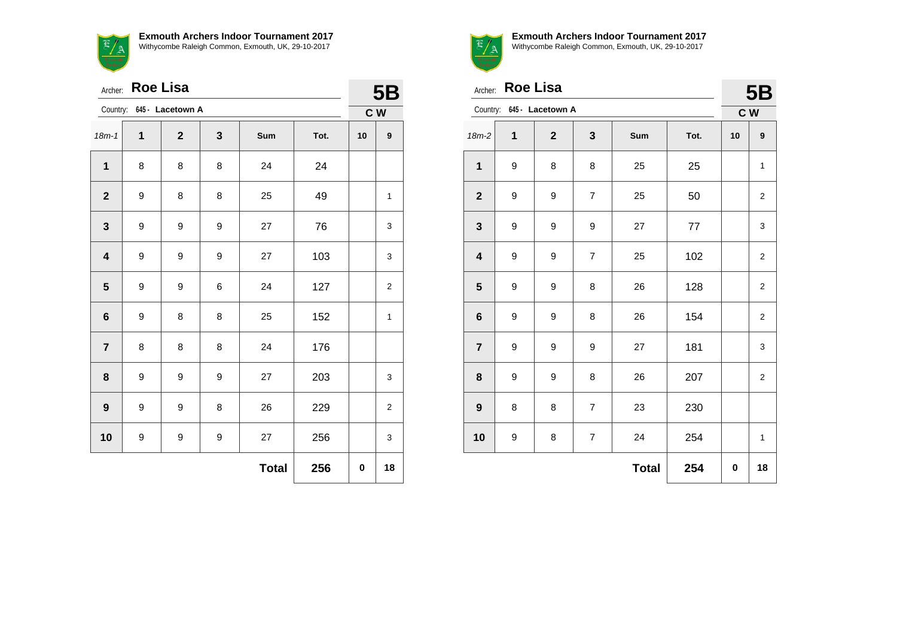$\mathbb{E}/\mathbb{A}$ 

| <b>Exmouth Archers Indoor Tournament 2017</b>      |  |  |  |
|----------------------------------------------------|--|--|--|
| Withycombe Raleigh Common, Exmouth, UK, 29-10-2017 |  |  |  |



|                         | <b>Roe Lisa</b><br>Archer: |                           |   |              |      |     |                         |  |
|-------------------------|----------------------------|---------------------------|---|--------------|------|-----|-------------------------|--|
|                         |                            | Country: 645 - Lacetown A |   |              |      | C W |                         |  |
| $18m - 1$               | 1                          | $\mathbf{2}$              | 3 | Sum          | Tot. | 10  | $\boldsymbol{9}$        |  |
| $\mathbf{1}$            | 8                          | 8                         | 8 | 24           | 24   |     |                         |  |
| $\mathbf{2}$            | 9                          | 8                         | 8 | 25           | 49   |     | $\mathbf{1}$            |  |
| $\mathbf{3}$            | 9                          | 9                         | 9 | 27           | 76   |     | 3                       |  |
| $\overline{\mathbf{4}}$ | 9                          | 9                         | 9 | 27           | 103  |     | 3                       |  |
| $5\phantom{.0}$         | 9                          | 9                         | 6 | 24           | 127  |     | $\overline{\mathbf{c}}$ |  |
| $6\phantom{1}6$         | 9                          | 8                         | 8 | 25           | 152  |     | $\mathbf{1}$            |  |
| $\overline{7}$          | 8                          | 8                         | 8 | 24           | 176  |     |                         |  |
| 8                       | 9                          | 9                         | 9 | 27           | 203  |     | 3                       |  |
| $\boldsymbol{9}$        | 9                          | 9                         | 8 | 26           | 229  |     | $\overline{c}$          |  |
| 10                      | 9                          | 9                         | 9 | 27           | 256  |     | 3                       |  |
|                         |                            |                           |   | <b>Total</b> | 256  | 0   | 18                      |  |



Archer: **Roe Lisa**

| 5B |
|----|

|                         | Country:<br>645 - Lacetown A |              |                  |              |      |    | C W                     |  |
|-------------------------|------------------------------|--------------|------------------|--------------|------|----|-------------------------|--|
| $18m-2$                 | $\mathbf 1$                  | $\mathbf{2}$ | 3                | Sum          | Tot. | 10 | 9                       |  |
| $\mathbf 1$             | 9                            | 8            | 8                | 25           | 25   |    | 1                       |  |
| $\boldsymbol{2}$        | 9                            | 9            | $\boldsymbol{7}$ | 25           | 50   |    | $\overline{\mathbf{c}}$ |  |
| $\mathbf{3}$            | 9                            | 9            | 9                | 27           | 77   |    | 3                       |  |
| $\overline{\mathbf{4}}$ | 9                            | 9            | $\boldsymbol{7}$ | 25           | 102  |    | $\mathbf 2$             |  |
| $5\phantom{1}$          | 9                            | 9            | 8                | 26           | 128  |    | $\overline{\mathbf{c}}$ |  |
| $\bf 6$                 | 9                            | 9            | 8                | 26           | 154  |    | $\overline{\mathbf{c}}$ |  |
| $\overline{\mathbf{7}}$ | 9                            | 9            | 9                | 27           | 181  |    | 3                       |  |
| ${\bf 8}$               | 9                            | 9            | 8                | 26           | 207  |    | $\boldsymbol{2}$        |  |
| $\boldsymbol{9}$        | 8                            | 8            | $\overline{7}$   | 23           | 230  |    |                         |  |
| 10                      | 9                            | 8            | $\overline{7}$   | 24           | 254  |    | $\mathbf{1}$            |  |
|                         |                              |              |                  | <b>Total</b> | 254  | 0  | 18                      |  |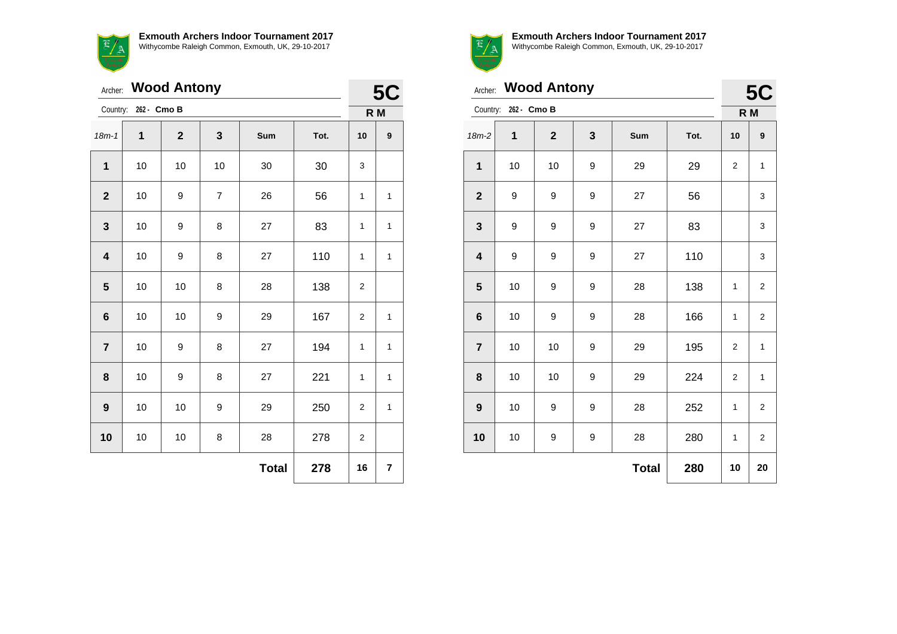

|                         | <b>Wood Antony</b><br>Archer: |                |                |              |      |                  |                  |
|-------------------------|-------------------------------|----------------|----------------|--------------|------|------------------|------------------|
|                         | Country: 262 - Cmo B          |                |                |              |      | <b>5C</b><br>R M |                  |
| $18m - 1$               | 1                             | $\overline{2}$ | 3              | Sum          | Tot. | 10               | $\boldsymbol{9}$ |
| 1                       | 10                            | 10             | 10             | 30           | 30   | 3                |                  |
| $\mathbf{2}$            | 10                            | 9              | $\overline{7}$ | 26           | 56   | 1                | 1                |
| $\mathbf{3}$            | $10$                          | 9              | 8              | 27           | 83   | 1                | $\mathbf{1}$     |
| $\overline{\mathbf{4}}$ | $10$                          | 9              | 8              | 27           | 110  | 1                | $\mathbf{1}$     |
| 5                       | 10                            | 10             | 8              | 28           | 138  | 2                |                  |
| $6\phantom{1}6$         | 10                            | 10             | 9              | 29           | 167  | 2                | $\mathbf{1}$     |
| $\overline{7}$          | 10                            | 9              | 8              | 27           | 194  | 1                | $\mathbf{1}$     |
| 8                       | 10                            | 9              | 8              | 27           | 221  | 1                | $\mathbf{1}$     |
| 9                       | 10                            | 10             | 9              | 29           | 250  | 2                | $\mathbf{1}$     |
| 10                      | 10                            | 10             | 8              | 28           | 278  | $\overline{2}$   |                  |
|                         |                               |                |                | <b>Total</b> | 278  | 16               | 7                |



Archer: **Wood Antony**

| <b>5C</b> |
|-----------|

|                         | Country: 262 - Cmo B |              |                  |              |      |             | R M                     |
|-------------------------|----------------------|--------------|------------------|--------------|------|-------------|-------------------------|
| $18m-2$                 | $\mathbf{1}$         | $\mathbf{2}$ | $\mathbf{3}$     | Sum          | Tot. | 10          | 9                       |
| $\mathbf 1$             | 10                   | $10$         | 9                | 29           | 29   | 2           | $\mathbf{1}$            |
| $\boldsymbol{2}$        | 9                    | 9            | 9                | 27           | 56   |             | 3                       |
| $\mathbf 3$             | 9                    | 9            | 9                | 27           | 83   |             | 3                       |
| $\overline{\mathbf{4}}$ | 9                    | 9            | 9                | 27           | 110  |             | 3                       |
| $5\phantom{.0}$         | 10                   | 9            | 9                | 28           | 138  | 1           | $\overline{2}$          |
| $\bf 6$                 | 10                   | 9            | 9                | 28           | 166  | 1           | 2                       |
| $\overline{\mathbf{7}}$ | 10                   | 10           | 9                | 29           | 195  | 2           | $\mathbf{1}$            |
| $\bf 8$                 | 10                   | 10           | 9                | 29           | 224  | 2           | $\mathbf{1}$            |
| $\boldsymbol{9}$        | 10                   | 9            | 9                | 28           | 252  | $\mathbf 1$ | $\overline{\mathbf{c}}$ |
| 10                      | 10                   | 9            | $\boldsymbol{9}$ | 28           | 280  | 1           | 2                       |
|                         |                      |              |                  | <b>Total</b> | 280  | 10          | 20                      |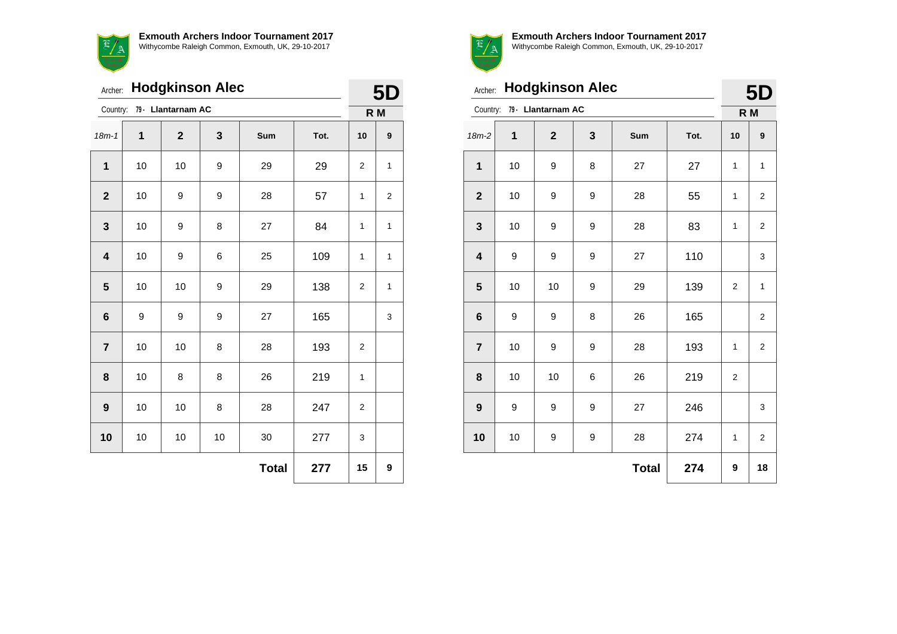

Archer: **Hodgkinson Alec**

**5D**

| Country:                |        | 79 - Llantarnam AC |      |              |      | R M          |              |  |  |
|-------------------------|--------|--------------------|------|--------------|------|--------------|--------------|--|--|
| $18m - 1$               | 1      | $\mathbf 2$        | 3    | Sum          | Tot. | 10           | 9            |  |  |
| 1                       | 10     | 10                 | 9    | 29           | 29   | 2            | $\mathbf{1}$ |  |  |
| $\mathbf{2}$            | $10$   | 9                  | 9    | 28           | 57   | 1            | $\mathbf 2$  |  |  |
| $\mathbf{3}$            | $10$   | 9                  | 8    | 27           | 84   | $\mathbf{1}$ | $\mathbf{1}$ |  |  |
| $\overline{\mathbf{4}}$ | $10$   | 9                  | 6    | 25           | 109  | 1            | $\mathbf{1}$ |  |  |
| $\sqrt{5}$              | 10     | 10                 | 9    | 29           | 138  | 2            | 1            |  |  |
| 6                       | 9      | 9                  | 9    | 27           | 165  |              | 3            |  |  |
| $\overline{\mathbf{r}}$ | 10     | 10                 | 8    | 28           | 193  | 2            |              |  |  |
| 8                       | 10     | 8                  | 8    | 26           | 219  | $\mathbf{1}$ |              |  |  |
| 9                       | 10     | 10                 | 8    | 28           | 247  | 2            |              |  |  |
| 10                      | $10\,$ | $10$               | $10$ | $30\,$       | 277  | 3            |              |  |  |
|                         |        |                    |      | <b>Total</b> | 277  | 15           | 9            |  |  |



**Exmouth Archers Indoor Tournament 2017** Withycombe Raleigh Common, Exmouth, UK, 29-10-2017

**5D**

| Archer:                 |    | <b>Hodgkinson Alec</b>      |              |              |      | 5D           |                |  |
|-------------------------|----|-----------------------------|--------------|--------------|------|--------------|----------------|--|
|                         |    | Country: 79 - Llantarnam AC |              |              |      |              | R M            |  |
| $18m-2$                 | 1  | $\mathbf{2}$                | $\mathbf{3}$ | Sum          | Tot. | 10           | 9              |  |
| 1                       | 10 | 9                           | 8            | 27           | 27   | $\mathbf{1}$ | $\mathbf{1}$   |  |
| $\mathbf{2}$            | 10 | 9                           | 9            | 28           | 55   | 1            | 2              |  |
| 3                       | 10 | 9                           | 9            | 28           | 83   | 1            | 2              |  |
| $\overline{\mathbf{4}}$ | 9  | 9                           | 9            | 27           | 110  |              | 3              |  |
| 5                       | 10 | 10                          | 9            | 29           | 139  | 2            | $\mathbf{1}$   |  |
| $6\phantom{1}6$         | 9  | 9                           | 8            | 26           | 165  |              | $\overline{2}$ |  |
| $\overline{7}$          | 10 | 9                           | 9            | 28           | 193  | $\mathbf{1}$ | $\overline{2}$ |  |
| 8                       | 10 | 10                          | 6            | 26           | 219  | 2            |                |  |
| 9                       | 9  | 9                           | 9            | 27           | 246  |              | 3              |  |
| 10                      | 10 | 9                           | 9            | 28           | 274  | $\mathbf{1}$ | $\overline{2}$ |  |
|                         |    |                             |              | <b>Total</b> | 274  | 9            | 18             |  |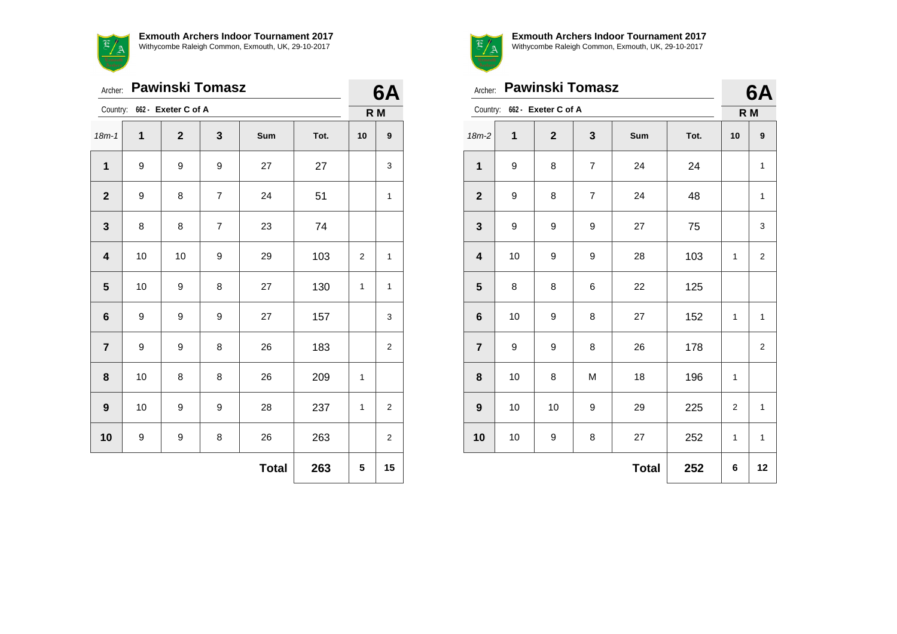|                         | <b>Pawinski Tomasz</b><br>Archer: |                |                |              |      |    |                |  |
|-------------------------|-----------------------------------|----------------|----------------|--------------|------|----|----------------|--|
|                         | Country: 662 - Exeter C of A      |                |                |              |      |    | 6A<br>R M      |  |
| $18m - 1$               | 1                                 | $\overline{2}$ | 3              | <b>Sum</b>   | Tot. | 10 | 9              |  |
| $\mathbf{1}$            | 9                                 | 9              | 9              | 27           | 27   |    | 3              |  |
| $\overline{2}$          | 9                                 | 8              | $\overline{7}$ | 24           | 51   |    | 1              |  |
| $\mathbf{3}$            | 8                                 | 8              | 7              | 23           | 74   |    |                |  |
| $\overline{\mathbf{4}}$ | 10                                | 10             | 9              | 29           | 103  | 2  | $\mathbf{1}$   |  |
| 5                       | 10                                | 9              | 8              | 27           | 130  | 1  | $\mathbf{1}$   |  |
| 6                       | 9                                 | 9              | 9              | 27           | 157  |    | 3              |  |
| $\overline{\mathbf{r}}$ | 9                                 | 9              | 8              | 26           | 183  |    | $\overline{2}$ |  |
| 8                       | 10                                | 8              | 8              | 26           | 209  | 1  |                |  |
| $\boldsymbol{9}$        | 10                                | 9              | 9              | 28           | 237  | 1  | $\overline{2}$ |  |
| 10                      | 9                                 | 9              | 8              | 26           | 263  |    | 2              |  |
|                         |                                   |                |                | <b>Total</b> | 263  | 5  | 15             |  |



|                         | Archer: Pawinski Tomasz      |              |                |              |      |                |                |
|-------------------------|------------------------------|--------------|----------------|--------------|------|----------------|----------------|
|                         | Country: 662 - Exeter C of A |              |                |              |      |                |                |
| $18m-2$                 | $\mathbf{1}$                 | $\mathbf{2}$ | 3              | Sum          | Tot. | 10             | 9              |
| $\mathbf{1}$            | 9                            | 8            | $\overline{7}$ | 24           | 24   |                | 1              |
| $\mathbf{2}$            | 9                            | 8            | $\overline{7}$ | 24           | 48   |                | $\mathbf{1}$   |
| 3                       | 9                            | 9            | 9              | 27           | 75   |                | 3              |
| $\overline{\mathbf{4}}$ | 10                           | 9            | 9              | 28           | 103  | 1              | $\overline{2}$ |
| 5                       | 8                            | 8            | 6              | 22           | 125  |                |                |
| $6\phantom{1}$          | 10                           | 9            | 8              | 27           | 152  | 1              | $\mathbf{1}$   |
| $\overline{7}$          | 9                            | 9            | 8              | 26           | 178  |                | $\overline{2}$ |
| 8                       | 10                           | 8            | M              | 18           | 196  | 1              |                |
| $\boldsymbol{9}$        | 10                           | 10           | 9              | 29           | 225  | $\overline{2}$ | $\mathbf{1}$   |
| 10                      | 10                           | 9            | 8              | 27           | 252  | 1              | $\mathbf{1}$   |
|                         |                              |              |                | <b>Total</b> | 252  | 6              | 12             |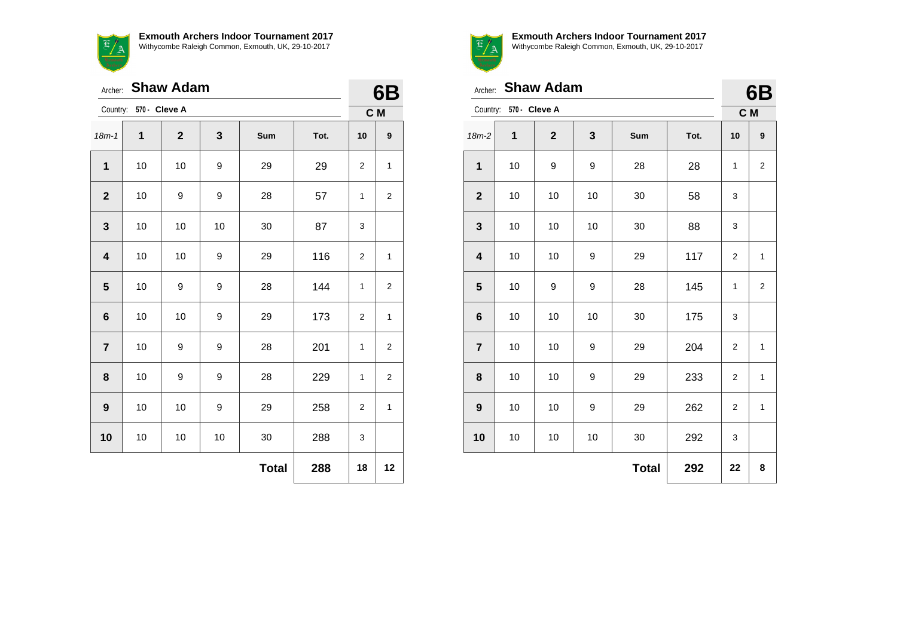|                         | <b>Shaw Adam</b><br>Archer: |                |    |              |      |                |                |  |
|-------------------------|-----------------------------|----------------|----|--------------|------|----------------|----------------|--|
| Country:                | 570 - Cleve A               |                |    |              |      |                | C M            |  |
| $18m - 1$               | 1                           | $\overline{2}$ | 3  | Sum          | Tot. | 10             | 9              |  |
| $\mathbf{1}$            | 10                          | 10             | 9  | 29           | 29   | 2              | $\mathbf{1}$   |  |
| $\mathbf{2}$            | 10                          | 9              | 9  | 28           | 57   | $\mathbf{1}$   | 2              |  |
| 3                       | 10                          | 10             | 10 | 30           | 87   | 3              |                |  |
| $\overline{\mathbf{4}}$ | 10                          | 10             | 9  | 29           | 116  | $\overline{c}$ | $\mathbf{1}$   |  |
| 5                       | 10                          | 9              | 9  | 28           | 144  | 1              | $\overline{2}$ |  |
| 6                       | 10                          | 10             | 9  | 29           | 173  | 2              | $\mathbf{1}$   |  |
| $\overline{7}$          | 10                          | 9              | 9  | 28           | 201  | 1              | 2              |  |
| 8                       | 10                          | 9              | 9  | 28           | 229  | 1              | 2              |  |
| $\boldsymbol{9}$        | 10                          | 10             | 9  | 29           | 258  | $\overline{2}$ | $\mathbf{1}$   |  |
| 10                      | 10                          | 10             | 10 | 30           | 288  | 3              |                |  |
|                         |                             |                |    | <b>Total</b> | 288  | 18             | 12             |  |



**Exmouth Archers Indoor Tournament 2017**

Withycombe Raleigh Common, Exmouth, UK, 29-10-2017

| <b>Shaw Adam</b><br>Archer: |                        |              |    |              |      |                  | 6B                      |
|-----------------------------|------------------------|--------------|----|--------------|------|------------------|-------------------------|
|                             | Country: 570 - Cleve A |              |    |              |      | C M              |                         |
| $18m-2$                     | 1                      | $\mathbf{2}$ | 3  | Sum          | Tot. | 10               | 9                       |
| 1                           | 10                     | 9            | 9  | 28           | 28   | 1                | $\overline{\mathbf{c}}$ |
| $\mathbf{2}$                | 10                     | 10           | 10 | 30           | 58   | 3                |                         |
| $\mathbf{3}$                | 10                     | 10           | 10 | 30           | 88   | 3                |                         |
| $\overline{\mathbf{4}}$     | 10                     | 10           | 9  | 29           | 117  | $\overline{2}$   | $\mathbf{1}$            |
| 5                           | 10                     | 9            | 9  | 28           | 145  | 1                | $\overline{2}$          |
| $6\phantom{1}6$             | 10                     | 10           | 10 | 30           | 175  | 3                |                         |
| $\overline{7}$              | 10                     | 10           | 9  | 29           | 204  | 2                | $\mathbf{1}$            |
| 8                           | 10                     | 10           | 9  | 29           | 233  | $\boldsymbol{2}$ | $\mathbf 1$             |
| 9                           | 10                     | 10           | 9  | 29           | 262  | 2                | 1                       |
| 10                          | 10                     | 10           | 10 | 30           | 292  | 3                |                         |
|                             |                        |              |    | <b>Total</b> | 292  | 22               | 8                       |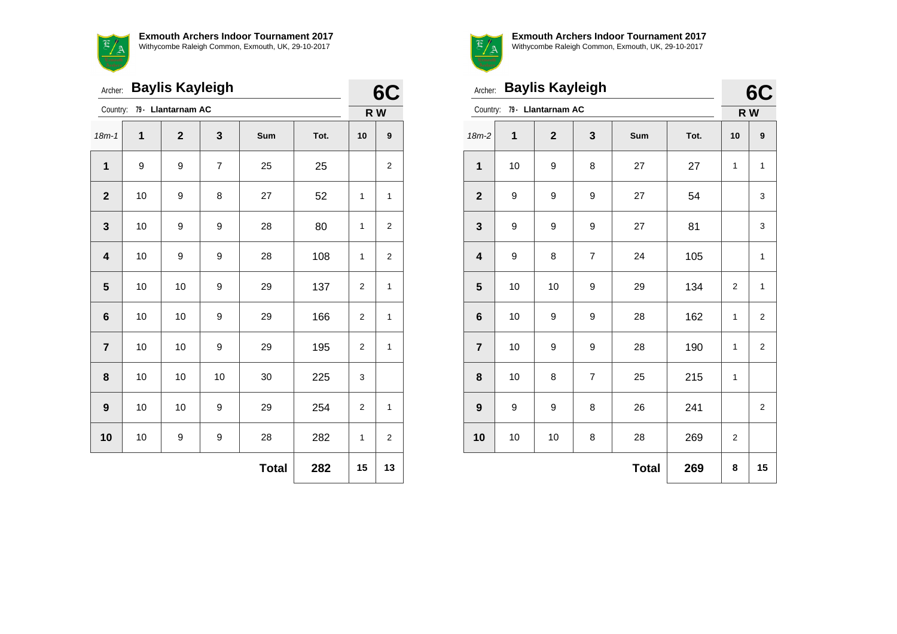**Exmouth Archers Indoor Tournament 2017**  $\overline{\mathcal{F}}$ Withycombe Raleigh Common, Exmouth, UK, 29-10-2017 <u>a / a</u>

| Archer:                 |    | <b>Baylis Kayleigh</b> |                |              |      |                | 6<br>C           |  |
|-------------------------|----|------------------------|----------------|--------------|------|----------------|------------------|--|
| Country:                |    | 79 - Llantarnam AC     |                |              |      |                | R W              |  |
| $18m-1$                 | 1  | $\overline{2}$         | 3              | Sum          | Tot. | 10             | $\boldsymbol{9}$ |  |
| 1                       | 9  | 9                      | $\overline{7}$ | 25           | 25   |                | $\overline{2}$   |  |
| $\mathbf{2}$            | 10 | 9                      | 8              | 27           | 52   | 1              | 1                |  |
| $\mathbf{3}$            | 10 | 9                      | 9              | 28           | 80   | $\mathbf{1}$   | $\overline{2}$   |  |
| $\overline{\mathbf{4}}$ | 10 | 9                      | 9              | 28           | 108  | 1              | $\boldsymbol{2}$ |  |
| $\overline{\mathbf{5}}$ | 10 | 10                     | 9              | 29           | 137  | $\overline{2}$ | $\mathbf{1}$     |  |
| $\bf 6$                 | 10 | 10                     | 9              | 29           | 166  | 2              | 1                |  |
| $\overline{7}$          | 10 | 10                     | 9              | 29           | 195  | $\overline{2}$ | 1                |  |
| 8                       | 10 | 10                     | 10             | 30           | 225  | 3              |                  |  |
| $\boldsymbol{9}$        | 10 | 10                     | 9              | 29           | 254  | $\overline{2}$ | 1                |  |
| 10                      | 10 | 9                      | 9              | 28           | 282  | 1              | $\overline{2}$   |  |
|                         |    |                        |                | <b>Total</b> | 282  | 15             | 13               |  |



|                         | <b>Baylis Kayleigh</b><br>Archer: |                    |                |              |      |                |                  |  |
|-------------------------|-----------------------------------|--------------------|----------------|--------------|------|----------------|------------------|--|
| Country:                |                                   | 79 - Llantarnam AC |                |              |      | 6C<br>R W      |                  |  |
| 18m-2                   | 1                                 | $\overline{2}$     | 3              | Sum          | Tot. | 10             | $\boldsymbol{9}$ |  |
| $\mathbf 1$             | 10                                | 9                  | 8              | 27           | 27   | 1              | $\mathbf{1}$     |  |
| $\mathbf{2}$            | 9                                 | 9                  | 9              | 27           | 54   |                | 3                |  |
| 3                       | 9                                 | 9                  | 9              | 27           | 81   |                | 3                |  |
| $\overline{\mathbf{4}}$ | 9                                 | 8                  | $\overline{7}$ | 24           | 105  |                | $\mathbf{1}$     |  |
| 5                       | 10                                | 10                 | 9              | 29           | 134  | $\overline{2}$ | $\mathbf{1}$     |  |
| 6                       | 10                                | 9                  | 9              | 28           | 162  | 1              | $\overline{2}$   |  |
| $\overline{7}$          | 10                                | 9                  | 9              | 28           | 190  | 1              | $\overline{2}$   |  |
| 8                       | 10                                | 8                  | $\overline{7}$ | 25           | 215  | 1              |                  |  |
| 9                       | 9                                 | 9                  | 8              | 26           | 241  |                | $\boldsymbol{2}$ |  |
| 10                      | 10                                | 10                 | 8              | 28           | 269  | $\overline{2}$ |                  |  |
|                         |                                   |                    |                | <b>Total</b> | 269  | 8              | 15               |  |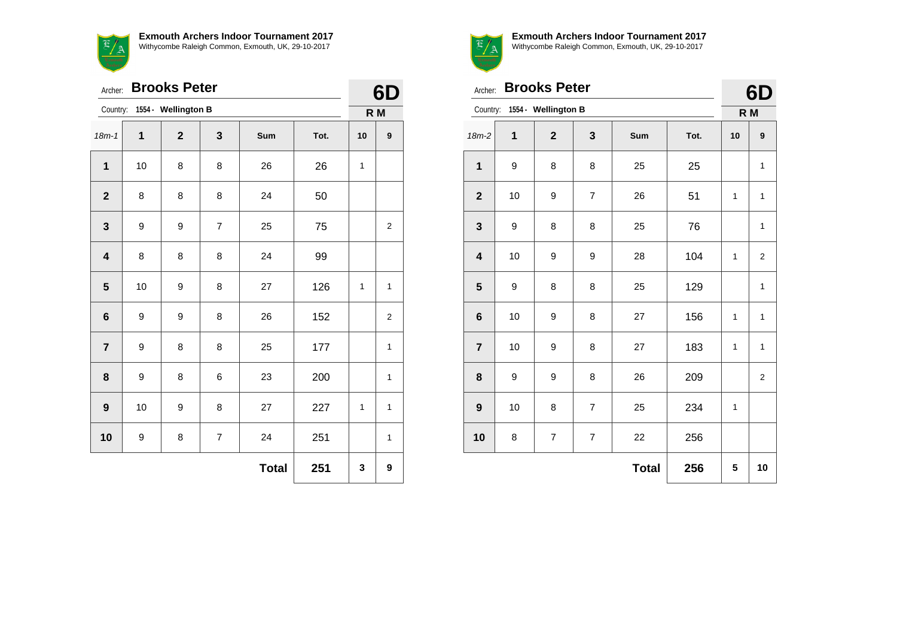

|  | - |  |  |
|--|---|--|--|
|  |   |  |  |
|  |   |  |  |
|  |   |  |  |
|  |   |  |  |
|  |   |  |  |
|  |   |  |  |
|  |   |  |  |
|  |   |  |  |
|  |   |  |  |

| Archer:                      | 61<br>Ŋ             |                |                |     |      |    |              |
|------------------------------|---------------------|----------------|----------------|-----|------|----|--------------|
| Country: 1554 - Wellington B | R M                 |                |                |     |      |    |              |
| $18m-1$                      | 1                   | $\overline{2}$ | 3              | Sum | Tot. | 10 | 9            |
| $\mathbf{1}$                 | 10                  | 8              | 8              | 26  | 26   | 1  |              |
| $\mathbf{2}$                 | 8                   | 8              | 8              | 24  | 50   |    |              |
| $\mathbf{3}$                 | 9                   | 9              | $\overline{7}$ | 25  | 75   |    | 2            |
| $\overline{\mathbf{4}}$      | 8                   | 8              | 8              | 24  | 99   |    |              |
| 5                            | 10                  | 9              | 8              | 27  | 126  | 1  | $\mathbf{1}$ |
| 6                            | 9                   | 9              | 8              | 26  | 152  |    | 2            |
| $\overline{7}$               | 9                   | 8              | 8              | 25  | 177  |    | $\mathbf{1}$ |
| 8                            | 9                   | 8              | 6              | 23  | 200  |    | 1            |
| $\boldsymbol{9}$             | 10                  | 9              | 8              | 27  | 227  | 1  | $\mathbf{1}$ |
| 10                           | 9                   | 8              | $\overline{7}$ | 24  | 251  |    | 1            |
|                              | 251<br><b>Total</b> |                |                |     |      |    |              |



**Exmouth Archers Indoor Tournament 2017**

Withycombe Raleigh Common, Exmouth, UK, 29-10-2017

|                         | <b>Brooks Peter</b><br>Archer:  |                         |                |              |      |              |                         |  |  |
|-------------------------|---------------------------------|-------------------------|----------------|--------------|------|--------------|-------------------------|--|--|
|                         | 1554 - Wellington B<br>Country: |                         |                |              |      |              |                         |  |  |
| $18m-2$                 | 1                               | $\mathbf{2}$            | 3              | Sum          | Tot. | 10           | 9                       |  |  |
| $\mathbf{1}$            | 9                               | 8                       | 8              | 25           | 25   |              | $\mathbf{1}$            |  |  |
| $\mathbf{2}$            | 10                              | 9                       | $\overline{7}$ | 26           | 51   | 1            | $\mathbf{1}$            |  |  |
| $\mathbf{3}$            | 9                               | 8                       | 8              | 25           | 76   |              | $\mathbf{1}$            |  |  |
| $\overline{\mathbf{4}}$ | 10                              | 9                       | 9              | 28           | 104  | $\mathbf{1}$ | $\overline{2}$          |  |  |
| 5                       | 9                               | 8                       | 8              | 25           | 129  |              | $\mathbf{1}$            |  |  |
| 6                       | 10                              | 9                       | 8              | 27           | 156  | 1            | $\mathbf{1}$            |  |  |
| $\overline{7}$          | 10                              | 9                       | 8              | 27           | 183  | 1            | $\mathbf{1}$            |  |  |
| 8                       | 9                               | 9                       | 8              | 26           | 209  |              | $\overline{\mathbf{c}}$ |  |  |
| 9                       | 10                              | 8                       | $\overline{7}$ | 25           | 234  | 1            |                         |  |  |
| 10                      | 8                               | $\overline{\mathbf{7}}$ | 7              | 22           | 256  |              |                         |  |  |
|                         |                                 |                         |                | <b>Total</b> | 256  | 5            | 10                      |  |  |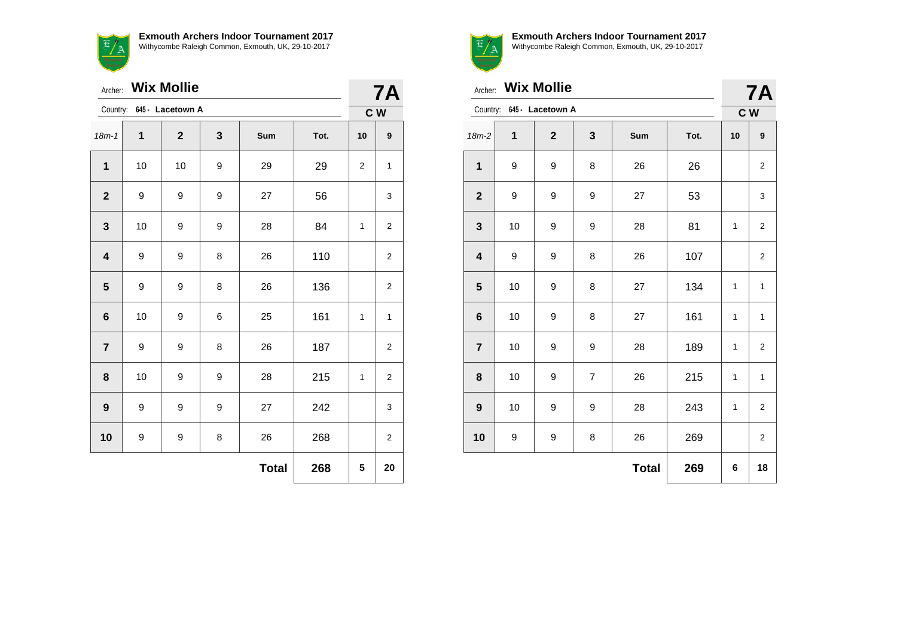

|                         | <b>Wix Mollie</b><br>Archer: |              |   |              |      |    | <b>7A</b>      |  |  |
|-------------------------|------------------------------|--------------|---|--------------|------|----|----------------|--|--|
|                         | Country: 645 - Lacetown A    |              |   |              |      |    |                |  |  |
| $18m - 1$               | 1                            | $\mathbf{2}$ | 3 | Sum          | Tot. | 10 | 9              |  |  |
| 1                       | 10                           | 10           | 9 | 29           | 29   | 2  | $\mathbf{1}$   |  |  |
| $\mathbf{2}$            | 9                            | 9            | 9 | 27           | 56   |    | 3              |  |  |
| $\mathbf{3}$            | 10                           | 9            | 9 | 28           | 84   | 1  | $\overline{2}$ |  |  |
| $\overline{\mathbf{4}}$ | 9                            | 9            | 8 | 26           | 110  |    | $\overline{2}$ |  |  |
| 5                       | 9                            | 9            | 8 | 26           | 136  |    | 2              |  |  |
| $6\phantom{1}$          | 10                           | 9            | 6 | 25           | 161  | 1  | $\mathbf{1}$   |  |  |
| $\overline{7}$          | 9                            | 9            | 8 | 26           | 187  |    | 2              |  |  |
| 8                       | 10                           | 9            | 9 | 28           | 215  | 1  | 2              |  |  |
| 9                       | 9                            | 9            | 9 | 27           | 242  |    | 3              |  |  |
| 10                      | $\boldsymbol{9}$             | 9            | 8 | 26           | 268  |    | 2              |  |  |
|                         |                              |              |   | <b>Total</b> | 268  | 5  | 20             |  |  |



| Archer: Wix Mollie        |     |                |                |     |      | <b>7A</b> |                         |
|---------------------------|-----|----------------|----------------|-----|------|-----------|-------------------------|
| Country: 645 - Lacetown A | C W |                |                |     |      |           |                         |
| $18m-2$                   | 1   | $\overline{2}$ | 3              | Sum | Tot. | 10        | 9                       |
| 1                         | 9   | 9              | 8              | 26  | 26   |           | $\overline{\mathbf{c}}$ |
| $\mathbf{2}$              | 9   | 9              | 9              | 27  | 53   |           | 3                       |
| 3                         | 10  | 9              | 9              | 28  | 81   | 1         | 2                       |
| $\overline{\mathbf{4}}$   | 9   | 9              | 8              | 26  | 107  |           | $\overline{2}$          |
| 5                         | 10  | 9              | 8              | 27  | 134  | 1         | $\mathbf{1}$            |
| $6\phantom{1}$            | 10  | 9              | 8              | 27  | 161  | 1         | $\mathbf{1}$            |
| $\overline{7}$            | 10  | 9              | 9              | 28  | 189  | 1         | $\overline{2}$          |
| 8                         | 10  | 9              | $\overline{7}$ | 26  | 215  | 1         | $\mathbf{1}$            |
| $\boldsymbol{9}$          | 10  | 9              | 9              | 28  | 243  | 1         | 2                       |
| 10                        | 9   | 9              | 8              | 26  | 269  |           | $\overline{2}$          |
| 269<br><b>Total</b>       |     |                |                |     |      |           | 18                      |